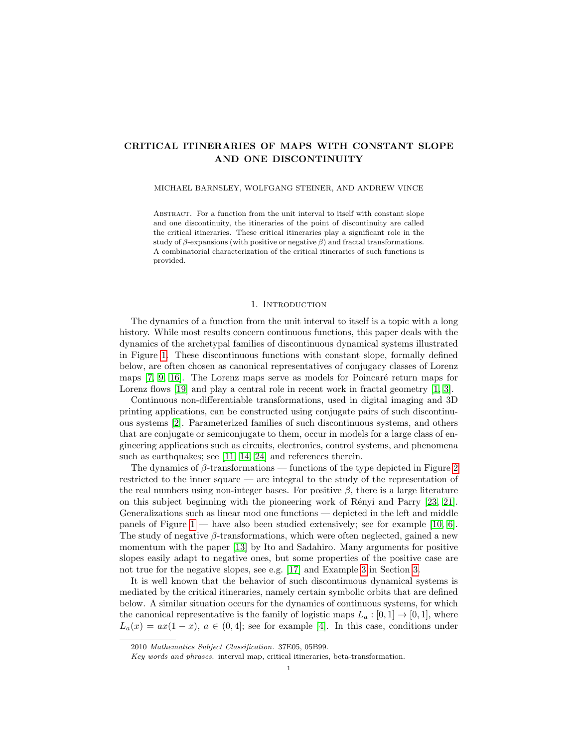# CRITICAL ITINERARIES OF MAPS WITH CONSTANT SLOPE AND ONE DISCONTINUITY

#### MICHAEL BARNSLEY, WOLFGANG STEINER, AND ANDREW VINCE

Abstract. For a function from the unit interval to itself with constant slope and one discontinuity, the itineraries of the point of discontinuity are called the critical itineraries. These critical itineraries play a significant role in the study of  $\beta$ -expansions (with positive or negative  $\beta$ ) and fractal transformations. A combinatorial characterization of the critical itineraries of such functions is provided.

### 1. INTRODUCTION

The dynamics of a function from the unit interval to itself is a topic with a long history. While most results concern continuous functions, this paper deals with the dynamics of the archetypal families of discontinuous dynamical systems illustrated in Figure [1.](#page-1-0) These discontinuous functions with constant slope, formally defined below, are often chosen as canonical representatives of conjugacy classes of Lorenz maps  $[7, 9, 16]$  $[7, 9, 16]$  $[7, 9, 16]$ . The Lorenz maps serve as models for Poincaré return maps for Lorenz flows [\[19\]](#page-17-3) and play a central role in recent work in fractal geometry [\[1,](#page-17-4) [3\]](#page-17-5).

Continuous non-differentiable transformations, used in digital imaging and 3D printing applications, can be constructed using conjugate pairs of such discontinuous systems [\[2\]](#page-17-6). Parameterized families of such discontinuous systems, and others that are conjugate or semiconjugate to them, occur in models for a large class of engineering applications such as circuits, electronics, control systems, and phenomena such as earthquakes; see [\[11,](#page-17-7) [14,](#page-17-8) [24\]](#page-17-9) and references therein.

The dynamics of  $\beta$ -transformations — functions of the type depicted in Figure [2](#page-2-0) restricted to the inner square — are integral to the study of the representation of the real numbers using non-integer bases. For positive  $\beta$ , there is a large literature on this subject beginning with the pioneering work of Rényi and Parry [\[23,](#page-17-10) [21\]](#page-17-11). Generalizations such as linear mod one functions — depicted in the left and middle panels of Figure [1](#page-1-0) — have also been studied extensively; see for example [\[10,](#page-17-12) [6\]](#page-17-13). The study of negative  $\beta$ -transformations, which were often neglected, gained a new momentum with the paper [\[13\]](#page-17-14) by Ito and Sadahiro. Many arguments for positive slopes easily adapt to negative ones, but some properties of the positive case are not true for the negative slopes, see e.g. [\[17\]](#page-17-15) and Example [3](#page-5-0) in Section [3.](#page-3-0)

It is well known that the behavior of such discontinuous dynamical systems is mediated by the critical itineraries, namely certain symbolic orbits that are defined below. A similar situation occurs for the dynamics of continuous systems, for which the canonical representative is the family of logistic maps  $L_a : [0,1] \rightarrow [0,1]$ , where  $L_a(x) = ax(1-x)$ ,  $a \in (0,4]$ ; see for example [\[4\]](#page-17-16). In this case, conditions under

<sup>2010</sup> Mathematics Subject Classification. 37E05, 05B99.

Key words and phrases. interval map, critical itineraries, beta-transformation.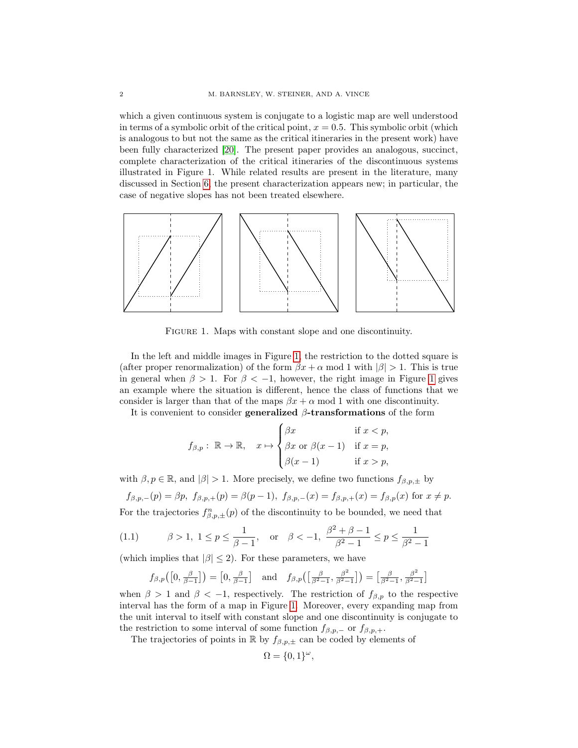which a given continuous system is conjugate to a logistic map are well understood in terms of a symbolic orbit of the critical point,  $x = 0.5$ . This symbolic orbit (which is analogous to but not the same as the critical itineraries in the present work) have been fully characterized [\[20\]](#page-17-17). The present paper provides an analogous, succinct, complete characterization of the critical itineraries of the discontinuous systems illustrated in Figure 1. While related results are present in the literature, many discussed in Section [6,](#page-16-0) the present characterization appears new; in particular, the case of negative slopes has not been treated elsewhere.



<span id="page-1-0"></span>FIGURE 1. Maps with constant slope and one discontinuity.

In the left and middle images in Figure [1,](#page-1-0) the restriction to the dotted square is (after proper renormalization) of the form  $\beta x + \alpha$  mod 1 with  $|\beta| > 1$ . This is true in general when  $\beta > 1$  $\beta > 1$ . For  $\beta < -1$ , however, the right image in Figure 1 gives an example where the situation is different, hence the class of functions that we consider is larger than that of the maps  $\beta x + \alpha$  mod 1 with one discontinuity.

It is convenient to consider generalized  $\beta$ -transformations of the form

$$
f_{\beta,p}:\ \mathbb{R}\to\mathbb{R},\quad x\mapsto\begin{cases} \beta x & \text{if } xp, \end{cases}
$$

with  $\beta, p \in \mathbb{R}$ , and  $|\beta| > 1$ . More precisely, we define two functions  $f_{\beta, p, \pm}$  by

$$
f_{\beta,p,-}(p) = \beta p, \ f_{\beta,p,+}(p) = \beta(p-1), \ f_{\beta,p,-}(x) = f_{\beta,p,+}(x) = f_{\beta,p}(x) \text{ for } x \neq p.
$$

For the trajectories  $f_{\beta,p,\pm}^n(p)$  of the discontinuity to be bounded, we need that

(1.1) 
$$
\beta > 1, 1 \le p \le \frac{1}{\beta - 1}, \text{ or } \beta < -1, \frac{\beta^2 + \beta - 1}{\beta^2 - 1} \le p \le \frac{1}{\beta^2 - 1}
$$

(which implies that  $|\beta| \leq 2$ ). For these parameters, we have

$$
f_{\beta,p}\left(\left[0,\frac{\beta}{\beta-1}\right]\right) = \left[0,\frac{\beta}{\beta-1}\right] \quad \text{and} \quad f_{\beta,p}\left(\left[\frac{\beta}{\beta^2-1},\frac{\beta^2}{\beta^2-1}\right]\right) = \left[\frac{\beta}{\beta^2-1},\frac{\beta^2}{\beta^2-1}\right]
$$

when  $\beta > 1$  and  $\beta < -1$ , respectively. The restriction of  $f_{\beta,p}$  to the respective interval has the form of a map in Figure [1.](#page-1-0) Moreover, every expanding map from the unit interval to itself with constant slope and one discontinuity is conjugate to the restriction to some interval of some function  $f_{\beta,p,-}$  or  $f_{\beta,p,+}$ .

The trajectories of points in R by  $f_{\beta,p,\pm}$  can be coded by elements of

$$
\Omega = \{0, 1\}^{\omega},
$$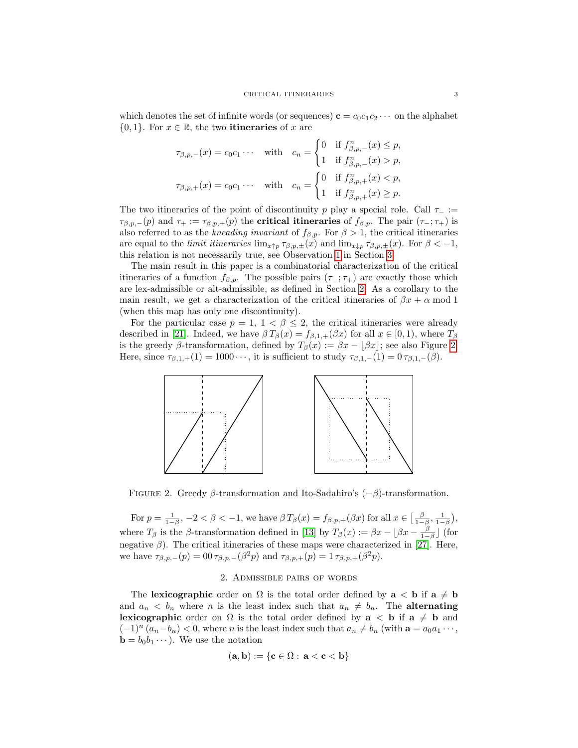which denotes the set of infinite words (or sequences)  $\mathbf{c} = c_0c_1c_2 \cdots$  on the alphabet  ${0, 1}$ . For  $x \in \mathbb{R}$ , the two **itineraries** of x are

$$
\tau_{\beta,p,-}(x) = c_0 c_1 \cdots \quad \text{with} \quad c_n = \begin{cases} 0 & \text{if } f_{\beta,p,-}^n(x) \le p, \\ 1 & \text{if } f_{\beta,p,-}^n(x) > p, \end{cases}
$$

$$
\tau_{\beta,p,+}(x) = c_0 c_1 \cdots \quad \text{with} \quad c_n = \begin{cases} 0 & \text{if } f_{\beta,p,+}^n(x) < p, \\ 1 & \text{if } f_{\beta,p,+}^n(x) \ge p. \end{cases}
$$

The two itineraries of the point of discontinuity p play a special role. Call  $\tau_-\coloneqq$  $\tau_{\beta,p,-}(p)$  and  $\tau_+ := \tau_{\beta,p,+}(p)$  the **critical itineraries** of  $f_{\beta,p}$ . The pair  $(\tau_-;\tau_+)$  is also referred to as the kneading invariant of  $f_{\beta,p}$ . For  $\beta > 1$ , the critical itineraries are equal to the *limit itineraries*  $\lim_{x \uparrow p} \tau_{\beta,p,\pm}(x)$  and  $\lim_{x \downarrow p} \tau_{\beta,p,\pm}(x)$ . For  $\beta < -1$ , this relation is not necessarily true, see Observation [1](#page-4-0) in Section [3.](#page-3-0)

The main result in this paper is a combinatorial characterization of the critical itineraries of a function  $f_{\beta,p}$ . The possible pairs  $(\tau_-;\tau_+)$  are exactly those which are lex-admissible or alt-admissible, as defined in Section [2.](#page-2-1) As a corollary to the main result, we get a characterization of the critical itineraries of  $\beta x + \alpha$  mod 1 (when this map has only one discontinuity).

For the particular case  $p = 1, 1 < \beta \leq 2$ , the critical itineraries were already described in [\[21\]](#page-17-11). Indeed, we have  $\beta T_{\beta}(x) = f_{\beta,1,+}(\beta x)$  for all  $x \in [0,1)$ , where  $T_{\beta}$ is the greedy β-transformation, defined by  $T_{\beta}(x) := \beta x - [\beta x]$ ; see also Figure [2.](#page-2-0) Here, since  $\tau_{\beta,1,+}(1) = 1000 \cdots$ , it is sufficient to study  $\tau_{\beta,1,-}(1) = 0 \tau_{\beta,1,-}(\beta)$ .



<span id="page-2-0"></span>FIGURE 2. Greedy β-transformation and Ito-Sadahiro's  $(-\beta)$ -transformation.

For  $p = \frac{1}{1-\beta}$ ,  $-2 < \beta < -1$ , we have  $\beta T_{\beta}(x) = f_{\beta,p,+}(\beta x)$  for all  $x \in \left[\frac{\beta}{1-\beta}, \frac{1}{1-\beta}\right)$ , where  $T_{\beta}$  is the  $\beta$ -transformation defined in [\[13\]](#page-17-14) by  $T_{\beta}(x) := \beta x - \lfloor \beta x - \frac{\beta}{1-\beta} \rfloor$  (for negative  $\beta$ ). The critical itineraries of these maps were characterized in [\[27\]](#page-17-18). Here, we have  $\tau_{\beta,p,-}(p) = 00 \tau_{\beta,p,-}(\beta^2 p)$  and  $\tau_{\beta,p,+}(p) = 1 \tau_{\beta,p,+}(\beta^2 p)$ .

## 2. Admissible pairs of words

<span id="page-2-1"></span>The lexicographic order on  $\Omega$  is the total order defined by  $a < b$  if  $a \neq b$ and  $a_n < b_n$  where *n* is the least index such that  $a_n \neq b_n$ . The **alternating lexicographic** order on  $\Omega$  is the total order defined by  $a < b$  if  $a \neq b$  and  $(-1)^n (a_n-b_n) < 0$ , where *n* is the least index such that  $a_n \neq b_n$  (with  $a = a_0a_1 \cdots$ ,  $\mathbf{b} = b_0 b_1 \cdots$ . We use the notation

$$
(\mathbf{a},\mathbf{b}):=\{\mathbf{c}\in\Omega:\,\mathbf{a}<\mathbf{c}<\mathbf{b}\}
$$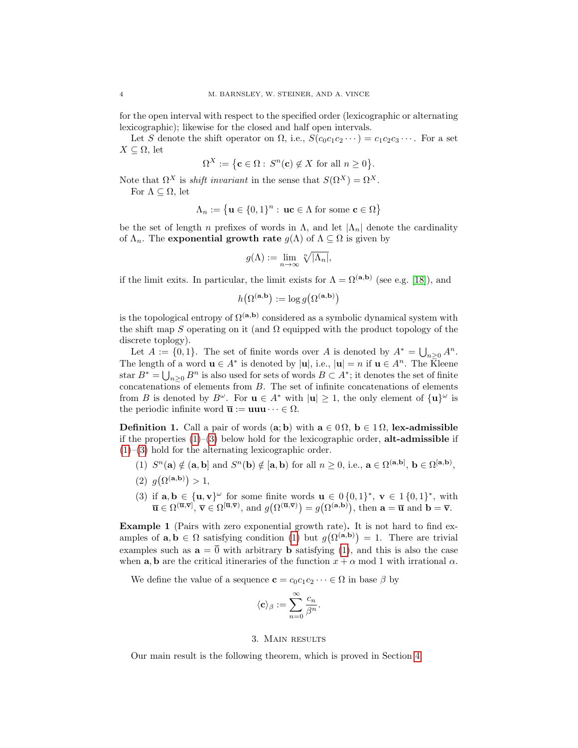for the open interval with respect to the specified order (lexicographic or alternating lexicographic); likewise for the closed and half open intervals.

Let S denote the shift operator on  $\Omega$ , i.e.,  $S(c_0c_1c_2\cdots) = c_1c_2c_3\cdots$ . For a set  $X \subseteq \Omega$ , let

 $\Omega^X := \{ \mathbf{c} \in \Omega : S^n(\mathbf{c}) \notin X \text{ for all } n \geq 0 \}.$ 

Note that  $\Omega^X$  is *shift invariant* in the sense that  $S(\Omega^X) = \Omega^X$ . For  $\Lambda \subseteq \Omega$ , let

$$
\Lambda_n := \{ \mathbf{u} \in \{0,1\}^n : \, \mathbf{u}\mathbf{c} \in \Lambda \text{ for some } \mathbf{c} \in \Omega \}
$$

be the set of length n prefixes of words in  $\Lambda$ , and let  $|\Lambda_n|$  denote the cardinality of  $\Lambda_n$ . The exponential growth rate  $g(\Lambda)$  of  $\Lambda \subseteq \Omega$  is given by

$$
g(\Lambda) := \lim_{n \to \infty} \sqrt[n]{|\Lambda_n|},
$$

if the limit exits. In particular, the limit exists for  $\Lambda = \Omega^{(a,b)}$  (see e.g. [\[18\]](#page-17-19)), and

$$
h(\Omega^{(\mathbf{a},\mathbf{b})} := \log g(\Omega^{(\mathbf{a},\mathbf{b})})
$$

is the topological entropy of  $\Omega^{(a,b)}$  considered as a symbolic dynamical system with the shift map S operating on it (and  $\Omega$  equipped with the product topology of the discrete toplogy).

Let  $A := \{0,1\}$ . The set of finite words over A is denoted by  $A^* = \bigcup_{n \geq 0} A^n$ . The length of a word  $\mathbf{u} \in A^*$  is denoted by  $|\mathbf{u}|$ , i.e.,  $|\mathbf{u}| = n$  if  $\mathbf{u} \in A^n$ . The Kleene star  $B^* = \bigcup_{n \geq 0} B^n$  is also used for sets of words  $B \subset A^*$ ; it denotes the set of finite concatenations of elements from  $B$ . The set of infinite concatenations of elements from B is denoted by  $B^{\omega}$ . For  $\mathbf{u} \in A^*$  with  $|\mathbf{u}| \geq 1$ , the only element of  $\{\mathbf{u}\}^{\omega}$  is the periodic infinite word  $\overline{\mathbf{u}} := \mathbf{u} \mathbf{u} \cdots \in \Omega$ .

<span id="page-3-4"></span>**Definition 1.** Call a pair of words (a; b) with  $\mathbf{a} \in \Omega$ ,  $\mathbf{b} \in \mathbb{1}\Omega$ , lex-admissible if the properties  $(1)$ – $(3)$  below hold for the lexicographic order, **alt-admissible** if  $(1)$ – $(3)$  hold for the alternating lexicographic order.

- <span id="page-3-1"></span>(1)  $S^n(\mathbf{a}) \notin (\mathbf{a}, \mathbf{b}]$  and  $S^n(\mathbf{b}) \notin [\mathbf{a}, \mathbf{b})$  for all  $n \geq 0$ , i.e.,  $\mathbf{a} \in \Omega^{(\mathbf{a}, \mathbf{b})}$ ,  $\mathbf{b} \in \Omega^{[\mathbf{a}, \mathbf{b})}$ ,
- <span id="page-3-3"></span>(2)  $g(\Omega^{(a,b)}) > 1$ ,
- <span id="page-3-2"></span>(3) if  $\mathbf{a}, \mathbf{b} \in {\mathbf{u}, \mathbf{v}}^{\omega}$  for some finite words  $\mathbf{u} \in \{0, 1\}^*, \mathbf{v} \in \{1, 0, 1\}^*,$  with  $\overline{\mathbf{u}} \in \Omega^{(\overline{\mathbf{u}}, \overline{\mathbf{v}})}, \ \overline{\mathbf{v}} \in \Omega^{[\overline{\mathbf{u}}, \overline{\mathbf{v}})}, \text{ and } g(\Omega^{(\overline{\mathbf{u}}, \overline{\mathbf{v}})}) = g(\Omega^{(\mathbf{a}, \mathbf{b})}), \text{ then } \mathbf{a} = \overline{\mathbf{u}} \text{ and } \mathbf{b} = \overline{\mathbf{v}}.$

Example 1 (Pairs with zero exponential growth rate). It is not hard to find examples of  $\mathbf{a}, \mathbf{b} \in \Omega$  satisfying condition [\(1\)](#page-3-1) but  $g(\Omega^{(\mathbf{a},\mathbf{b})}) = 1$ . There are trivial examples such as  $\mathbf{a} = \overline{0}$  with arbitrary **b** satisfying [\(1\)](#page-3-1), and this is also the case when **a**, **b** are the critical itineraries of the function  $x + \alpha$  mod 1 with irrational  $\alpha$ .

We define the value of a sequence  $\mathbf{c} = c_0 c_1 c_2 \cdots \in \Omega$  in base  $\beta$  by

$$
\langle {\bf c} \rangle_\beta := \sum_{n=0}^\infty \frac{c_n}{\beta^n}.
$$

## 3. Main results

<span id="page-3-0"></span>Our main result is the following theorem, which is proved in Section [4.](#page-6-0)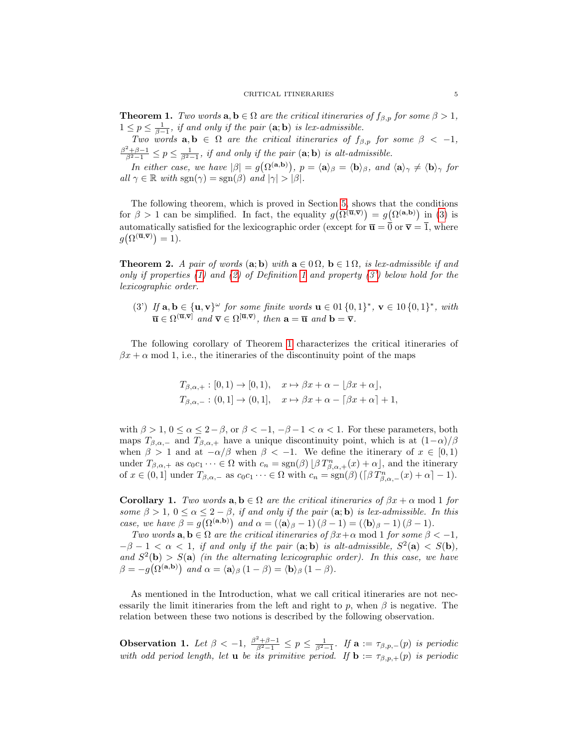<span id="page-4-2"></span>**Theorem 1.** Two words  $\mathbf{a}, \mathbf{b} \in \Omega$  are the critical itineraries of  $f_{\beta,p}$  for some  $\beta > 1$ ,  $1 \leq p \leq \frac{1}{\beta-1}$ , if and only if the pair  $(\mathbf{a}; \mathbf{b})$  is lex-admissible.

Two words  $a, b \in \Omega$  are the critical itineraries of  $f_{\beta,p}$  for some  $\beta < -1$ ,  $\frac{\beta^2+\beta-1}{\beta^2-1} \leq p \leq \frac{1}{\beta^2-1}$ , if and only if the pair  $(\mathbf{a}; \mathbf{b})$  is alt-admissible.

In either case, we have  $|\beta| = g(\Omega^{(a,b)})$ ,  $p = \langle a \rangle_{\beta} = \langle b \rangle_{\beta}$ , and  $\langle a \rangle_{\gamma} \neq \langle b \rangle_{\gamma}$  for all  $\gamma \in \mathbb{R}$  with  $sgn(\gamma) = sgn(\beta)$  and  $|\gamma| > |\beta|$ .

The following theorem, which is proved in Section [5,](#page-14-0) shows that the conditions for  $\beta > 1$  can be simplified. In fact, the equality  $g(\Omega^{(\overline{\mathbf{u}},\overline{\mathbf{v}})}) = g(\Omega^{(\mathbf{a},\mathbf{b})})$  in [\(3\)](#page-3-2) is automatically satisfied for the lexicographic order (except for  $\overline{\mathbf{u}} = \overline{0}$  or  $\overline{\mathbf{v}} = \overline{1}$ , where  $g\big(\Omega^{(\overline{\mathbf{u}},\overline{\mathbf{v}})}\big)=1$ ).

<span id="page-4-4"></span>**Theorem 2.** A pair of words (a; b) with  $a \in \Omega$ ,  $b \in \Omega$ , is lex-admissible if and only if properties [\(1\)](#page-3-1) and [\(2\)](#page-3-3) of Definition [1](#page-3-4) and property [\(3'\)](#page-4-1) below hold for the lexicographic order.

<span id="page-4-1"></span>(3) If  $\mathbf{a}, \mathbf{b} \in {\mathbf{u}, \mathbf{v}}^{\omega}$  for some finite words  $\mathbf{u} \in \{0, 1\}^*, \mathbf{v} \in \{0, 1\}^*,$  with  $\overline{\mathbf{u}} \in \Omega^{(\overline{\mathbf{u}}, \overline{\mathbf{v}})}$  and  $\overline{\mathbf{v}} \in \Omega^{[\overline{\mathbf{u}}, \overline{\mathbf{v}})}$ , then  $\mathbf{a} = \overline{\mathbf{u}}$  and  $\mathbf{b} = \overline{\mathbf{v}}$ .

The following corollary of Theorem [1](#page-4-2) characterizes the critical itineraries of  $\beta x + \alpha$  mod 1, i.e., the itineraries of the discontinuity point of the maps

$$
T_{\beta,\alpha,+}: [0,1) \to [0,1), \quad x \mapsto \beta x + \alpha - \lfloor \beta x + \alpha \rfloor,
$$
  
\n
$$
T_{\beta,\alpha,-}: (0,1] \to (0,1], \quad x \mapsto \beta x + \alpha - \lfloor \beta x + \alpha \rfloor + 1,
$$

with  $\beta > 1$ ,  $0 \le \alpha \le 2-\beta$ , or  $\beta < -1$ ,  $-\beta -1 < \alpha < 1$ . For these parameters, both maps  $T_{\beta,\alpha,-}$  and  $T_{\beta,\alpha,+}$  have a unique discontinuity point, which is at  $(1-\alpha)/\beta$ when  $\beta > 1$  and at  $-\alpha/\beta$  when  $\beta < -1$ . We define the itinerary of  $x \in [0,1)$ under  $T_{\beta,\alpha,+}$  as  $c_0c_1\cdots \in \Omega$  with  $c_n = sgn(\beta) \lfloor \beta T_{\beta,\alpha,+}^n(x) + \alpha \rfloor$ , and the itinerary of  $x \in (0,1]$  under  $T_{\beta,\alpha,-}$  as  $c_0c_1\cdots \in \Omega$  with  $c_n = \text{sgn}(\beta)$   $(\lceil \beta T_{\beta,\alpha,-}^n(x) + \alpha \rceil - 1)$ .

<span id="page-4-3"></span>**Corollary 1.** Two words  $\mathbf{a}, \mathbf{b} \in \Omega$  are the critical itineraries of  $\beta x + \alpha \mod 1$  for some  $\beta > 1$ ,  $0 \le \alpha \le 2 - \beta$ , if and only if the pair  $(a, b)$  is lex-admissible. In this case, we have  $\beta = g(\Omega^{(a,b)})$  and  $\alpha = (\langle a \rangle_{\beta} - 1)(\beta - 1) = (\langle b \rangle_{\beta} - 1)(\beta - 1)$ .

Two words  $\mathbf{a}, \mathbf{b} \in \Omega$  are the critical itineraries of  $\beta x + \alpha \mod 1$  for some  $\beta < -1$ ,  $-\beta - 1 < \alpha < 1$ , if and only if the pair (a; b) is alt-admissible,  $S^2(\mathbf{a}) < S(\mathbf{b})$ , and  $S^2(\mathbf{b}) > S(\mathbf{a})$  (in the alternating lexicographic order). In this case, we have  $\beta = -g(\Omega^{(\mathbf{a},\mathbf{b})})$  and  $\alpha = \langle \mathbf{a} \rangle_{\beta} (1 - \beta) = \langle \mathbf{b} \rangle_{\beta} (1 - \beta)$ .

As mentioned in the Introduction, what we call critical itineraries are not necessarily the limit itineraries from the left and right to p, when  $\beta$  is negative. The relation between these two notions is described by the following observation.

<span id="page-4-0"></span>**Observation 1.** Let  $\beta < -1$ ,  $\frac{\beta^2 + \beta - 1}{\beta^2 - 1} \le p \le \frac{1}{\beta^2 - 1}$ . If  $\mathbf{a} := \tau_{\beta, p, -}(p)$  is periodic with odd period length, let **u** be its primitive period. If  $\mathbf{b} := \tau_{\beta,p,+}(p)$  is periodic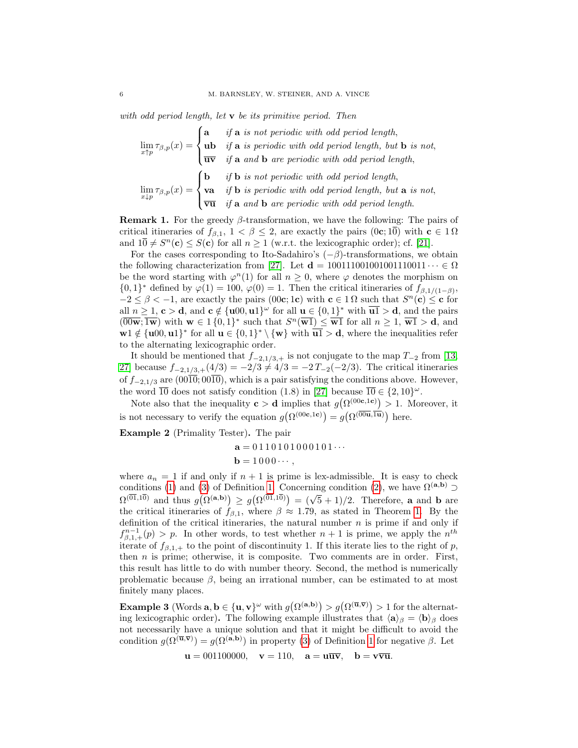with odd period length, let  $\bf{v}$  be its primitive period. Then

$$
\lim_{x \uparrow p} \tau_{\beta,p}(x) = \begin{cases}\n\mathbf{a} & \text{if } \mathbf{a} \text{ is not periodic with odd period length,} \\
\mathbf{u} \mathbf{b} & \text{if } \mathbf{a} \text{ is periodic with odd period length, but } \mathbf{b} \text{ is not,} \\
\overline{\mathbf{u} \mathbf{v}} & \text{if } \mathbf{a} \text{ and } \mathbf{b} \text{ are periodic with odd period length,} \\
\lim_{x \downarrow p} \tau_{\beta,p}(x) = \begin{cases}\n\mathbf{b} & \text{if } \mathbf{b} \text{ is not periodic with odd period length,} \\
\mathbf{v} \mathbf{a} & \text{if } \mathbf{b} \text{ is periodic with odd period length, but } \mathbf{a} \text{ is not,} \\
\overline{\mathbf{v} \mathbf{u}} & \text{if } \mathbf{a} \text{ and } \mathbf{b} \text{ are periodic with odd period length.}\n\end{cases}
$$

**Remark 1.** For the greedy  $\beta$ -transformation, we have the following: The pairs of critical itineraries of  $f_{\beta,1}$ ,  $1 < \beta \leq 2$ , are exactly the pairs (0c; 10) with  $c \in 1 \Omega$ and  $10 \neq S^n(\mathbf{c}) \leq S(\mathbf{c})$  for all  $n \geq 1$  (w.r.t. the lexicographic order); cf. [\[21\]](#page-17-11).

For the cases corresponding to Ito-Sadahiro's  $(-\beta)$ -transformations, we obtain the following characterization from [\[27\]](#page-17-18). Let  $\mathbf{d} = 100111001001001110011 \cdots \in \Omega$ be the word starting with  $\varphi^{n}(1)$  for all  $n \geq 0$ , where  $\varphi$  denotes the morphism on  $\{0,1\}^*$  defined by  $\varphi(1) = 100$ ,  $\varphi(0) = 1$ . Then the critical itineraries of  $f_{\beta,1/(1-\beta)}$ ,  $-2 \leq \beta < -1$ , are exactly the pairs (00c; 1c) with  $c \in 1 \Omega$  such that  $S<sup>n</sup>(c) \leq c$  for all  $n \geq 1$ ,  $c > d$ , and  $c \notin \{u00, u1\}^\omega$  for all  $u \in \{0, 1\}^*$  with  $u\overline{u} > d$ , and the pairs  $(\overline{00w}; \overline{1w})$  with  $w \in 1\{0,1\}^*$  such that  $S^n(\overline{w1}) \leq \overline{w1}$  for all  $n \geq 1$ ,  $\overline{w1} > d$ , and  $w1 \notin \{u00, u1\}^*$  for all  $u \in \{0, 1\}^* \setminus \{w\}$  with  $\overline{u1} > d$ , where the inequalities refer to the alternating lexicographic order.

It should be mentioned that  $f_{-2,1/3,+}$  is not conjugate to the map  $T_{-2}$  from [\[13,](#page-17-14) [27\]](#page-17-18) because  $f_{-2,1/3,+}(4/3) = -2/3 \neq 4/3 = -2T_{-2}(-2/3)$ . The critical itineraries of  $f_{-2,1/3}$  are  $(00\overline{10}; 00\overline{10})$ , which is a pair satisfying the conditions above. However, the word  $\overline{10}$  does not satisfy condition (1.8) in [\[27\]](#page-17-18) because  $\overline{10} \in \{2, 10\}^{\omega}$ .

Note also that the inequality  $c > d$  implies that  $g(\Omega^{(00c,1c)}) > 1$ . Moreover, it is not necessary to verify the equation  $g(\Omega^{(00c,1c)}) = g(\Omega^{(00u,\overline{1u})})$  here.

Example 2 (Primality Tester). The pair

 $a = 0110101000101...$  $\mathbf{b} = 1000 \cdots$ 

where  $a_n = 1$  if and only if  $n + 1$  is prime is lex-admissible. It is easy to check conditions [\(1\)](#page-3-1) and [\(3\)](#page-3-2) of Definition [1.](#page-3-4) Concerning condition [\(2\)](#page-3-3), we have  $\Omega^{(a,b)} \supset$ Conditions (1) and (3) of Definition 1. Concerning condition (2), we have  $\Omega^{(\sqrt{5},10)}$  and thus  $g(\Omega^{(\mathbf{a},\mathbf{b})}) \geq g(\Omega^{(\overline{01},1\overline{0})}) = (\sqrt{5}+1)/2$ . Therefore, **a** and **b** are the critical itineraries of  $f_{\beta,1}$ , where  $\beta \approx 1.79$  $\beta \approx 1.79$  $\beta \approx 1.79$ , as stated in Theorem 1. By the definition of the critical itineraries, the natural number  $n$  is prime if and only if  $f_{\beta,1,+}^{n-1}(p) > p$ . In other words, to test whether  $n+1$  is prime, we apply the  $n^{th}$ iterate of  $f_{\beta,1,+}$  to the point of discontinuity 1. If this iterate lies to the right of p, then  $n$  is prime; otherwise, it is composite. Two comments are in order. First, this result has little to do with number theory. Second, the method is numerically problematic because  $\beta$ , being an irrational number, can be estimated to at most finitely many places.

<span id="page-5-0"></span>**Example 3** (Words  $\mathbf{a}, \mathbf{b} \in {\{\mathbf{u}, \mathbf{v}\}}^{\omega}$  with  $g(\Omega^{(\mathbf{a}, \mathbf{b})}) > g(\Omega^{(\overline{\mathbf{u}}, \overline{\mathbf{v}})}) > 1$  for the alternating lexicographic order). The following example illustrates that  $\langle \mathbf{a} \rangle_{\beta} = \langle \mathbf{b} \rangle_{\beta}$  does not necessarily have a unique solution and that it might be difficult to avoid the condition  $g(\Omega^{(\overline{\mathbf{u}},\overline{\mathbf{v}})})=g(\Omega^{(\mathbf{a},\mathbf{b})})$  in property [\(3\)](#page-3-2) of Definition [1](#page-3-4) for negative  $\beta$ . Let

 $\mathbf{u} = 001100000, \quad \mathbf{v} = 110, \quad \mathbf{a} = \mathbf{u}\overline{\mathbf{u}\mathbf{v}}, \quad \mathbf{b} = \mathbf{v}\overline{\mathbf{v}}\overline{\mathbf{u}}.$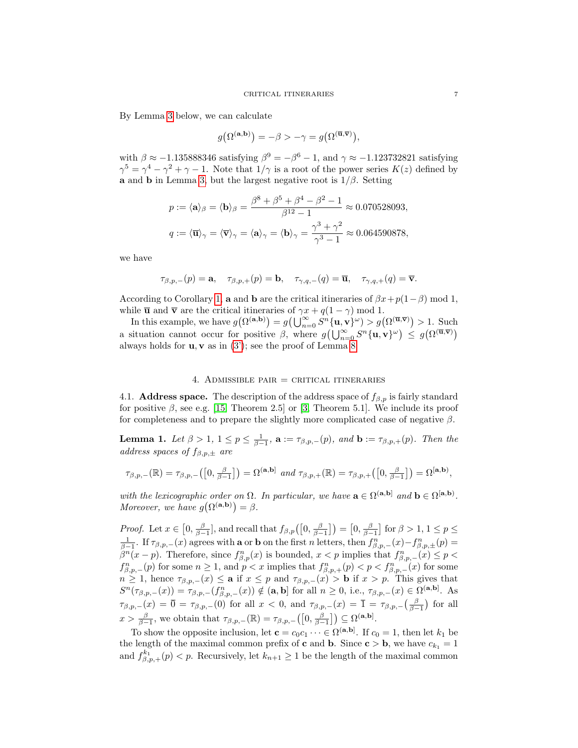By Lemma [3](#page-8-0) below, we can calculate

$$
g(\Omega^{(\mathbf{a},\mathbf{b})}) = -\beta > -\gamma = g(\Omega^{(\overline{\mathbf{u}},\overline{\mathbf{v}})}),
$$

with  $\beta \approx -1.135888346$  satisfying  $\beta^9 = -\beta^6 - 1$ , and  $\gamma \approx -1.123732821$  satisfying  $\gamma^5 = \gamma^4 - \gamma^2 + \gamma - 1$ . Note that  $1/\gamma$  is a root of the power series  $K(z)$  defined by a and **b** in Lemma [3,](#page-8-0) but the largest negative root is  $1/\beta$ . Setting

$$
p := \langle \mathbf{a} \rangle_{\beta} = \langle \mathbf{b} \rangle_{\beta} = \frac{\beta^8 + \beta^5 + \beta^4 - \beta^2 - 1}{\beta^{12} - 1} \approx 0.070528093,
$$
  

$$
q := \langle \overline{\mathbf{u}} \rangle_{\gamma} = \langle \overline{\mathbf{v}} \rangle_{\gamma} = \langle \mathbf{a} \rangle_{\gamma} = \langle \mathbf{b} \rangle_{\gamma} = \frac{\gamma^3 + \gamma^2}{\gamma^3 - 1} \approx 0.064590878,
$$

we have

$$
\tau_{\beta,p,-}(p)={\bf a},\quad \tau_{\beta,p,+}(p)={\bf b},\quad \tau_{\gamma,q,-}(q)=\overline{\bf u},\quad \tau_{\gamma,q,+}(q)=\overline{\bf v}.
$$

According to Corollary [1,](#page-4-3) **a** and **b** are the critical itineraries of  $\beta x + p(1-\beta)$  mod 1, while  $\bar{u}$  and  $\bar{v}$  are the critical itineraries of  $\gamma x + q(1 - \gamma) \mod 1$ .

In this example, we have  $g(\Omega^{(\mathbf{a},\mathbf{b})}) = g(\bigcup_{n=0}^{\infty} S^n \{\mathbf{u}, \mathbf{v}\}^{\omega}) > g(\Omega^{(\overline{\mathbf{u}}, \overline{\mathbf{v}})}) > 1$ . Such a situation cannot occur for positive  $\beta$ , where  $g\left(\bigcup_{n=0}^{\infty} S^n \{\mathbf{u}, \mathbf{v}\}^{\omega}\right) \leq g\left(\Omega^{(\overline{\mathbf{u}}, \overline{\mathbf{v}})}\right)$ always holds for  $\mathbf{u}, \mathbf{v}$  as in [\(3'\)](#page-4-1); see the proof of Lemma [8.](#page-14-1)

#### 4. ADMISSIBLE PAIR  $=$  CRITICAL ITINERARIES

<span id="page-6-0"></span>4.1. **Address space.** The description of the address space of  $f_{\beta,p}$  is fairly standard for positive  $\beta$ , see e.g. [\[15,](#page-17-20) Theorem 2.5] or [\[3,](#page-17-5) Theorem 5.1]. We include its proof for completeness and to prepare the slightly more complicated case of negative  $\beta$ .

<span id="page-6-1"></span>**Lemma 1.** Let  $\beta > 1$ ,  $1 \le p \le \frac{1}{\beta-1}$ ,  $\mathbf{a} := \tau_{\beta,p,-}(p)$ , and  $\mathbf{b} := \tau_{\beta,p,+}(p)$ . Then the address spaces of  $f_{\beta,p,\pm}$  are

$$
\tau_{\beta,p,-}(\mathbb{R}) = \tau_{\beta,p,-}\big(\big[0,\tfrac{\beta}{\beta-1}\big]\big) = \Omega^{(\mathbf{a},\mathbf{b}]} \text{ and } \tau_{\beta,p,+}(\mathbb{R}) = \tau_{\beta,p,+}\big(\big[0,\tfrac{\beta}{\beta-1}\big]\big) = \Omega^{[\mathbf{a},\mathbf{b})},
$$

with the lexicographic order on  $\Omega$ . In particular, we have  $\mathbf{a} \in \Omega^{(\mathbf{a},\mathbf{b})}$  and  $\mathbf{b} \in \Omega^{[\mathbf{a},\mathbf{b})}$ . Moreover, we have  $g(\Omega^{(\mathbf{a},\mathbf{b})}) = \beta$ .

*Proof.* Let  $x \in [0, \frac{\beta}{\beta-1}]$ , and recall that  $f_{\beta,p}([0, \frac{\beta}{\beta-1}]) = [0, \frac{\beta}{\beta-1}]$  for  $\beta > 1, 1 \le p \le$  $\frac{1}{\beta-1}$ . If  $\tau_{\beta,p,-}(x)$  agrees with **a** or **b** on the first *n* letters, then  $f_{\beta,p,-}^n(x) - f_{\beta,p,\pm}^n(p) =$  $\beta^{n}(x-p)$ . Therefore, since  $f_{\beta,p}^{n}(x)$  is bounded,  $x < p$  implies that  $f_{\beta,p,-}^{n}(x) \leq p <$  $f_{\beta,p,-}^n(p)$  for some  $n \geq 1$ , and  $p < x$  implies that  $f_{\beta,p,+}^n(p) < p < f_{\beta,p,-}^n(x)$  for some  $n \geq 1$ , hence  $\tau_{\beta,p,-}(x) \leq a$  if  $x \leq p$  and  $\tau_{\beta,p,-}(x) > b$  if  $x > p$ . This gives that  $S^n(\tau_{\beta,p,-}(x)) = \tau_{\beta,p,-}(f_{\beta,p,-}^n(x)) \notin (\mathbf{a},\mathbf{b}]$  for all  $n \geq 0$ , i.e.,  $\tau_{\beta,p,-}(x) \in \Omega^{(\mathbf{a},\mathbf{b})}$ . As  $\tau_{\beta,p,-}(x) = \overline{0} = \tau_{\beta,p,-}(0)$  for all  $x < 0$ , and  $\tau_{\beta,p,-}(x) = \overline{1} = \tau_{\beta,p,-}\left(\frac{\beta}{\beta-1}\right)$  for all  $x > \frac{\beta}{\beta-1}$ , we obtain that  $\tau_{\beta,p,-}(\mathbb{R}) = \tau_{\beta,p,-}([0,\frac{\beta}{\beta-1}]) \subseteq \Omega^{(\mathbf{a},\mathbf{b})}$ .

To show the opposite inclusion, let  $\mathbf{c} = c_0 c_1 \cdots \in \Omega^{(a,b]}$ . If  $c_0 = 1$ , then let  $k_1$  be the length of the maximal common prefix of **c** and **b**. Since **c** > **b**, we have  $c_{k_1} = 1$ and  $f_{\beta,p,+}^{k_1}(p) < p$ . Recursively, let  $k_{n+1} \geq 1$  be the length of the maximal common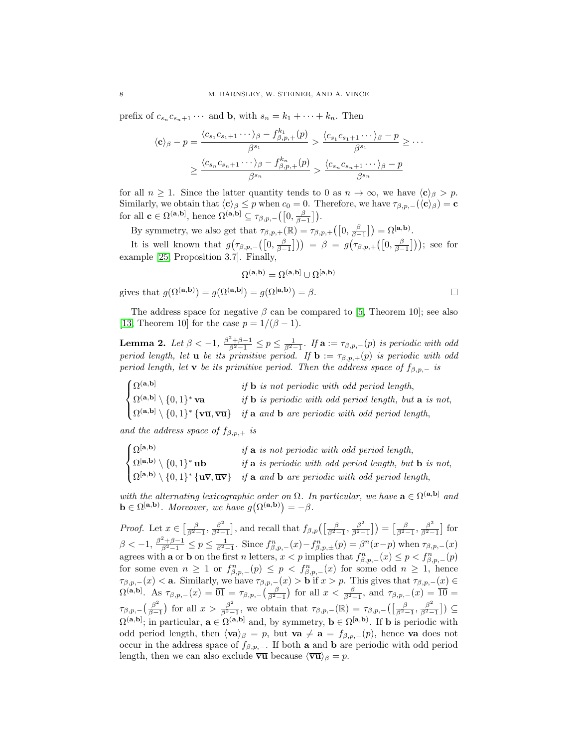prefix of  $c_{s_n} c_{s_n+1} \cdots$  and **b**, with  $s_n = k_1 + \cdots + k_n$ . Then

$$
\langle \mathbf{c} \rangle_{\beta} - p = \frac{\langle c_{s_1} c_{s_1+1} \cdots \rangle_{\beta} - f_{\beta, p,+}^{k_1}(p)}{\beta^{s_1}} > \frac{\langle c_{s_1} c_{s_1+1} \cdots \rangle_{\beta} - p}{\beta^{s_1}} \ge \cdots
$$

$$
\ge \frac{\langle c_{s_n} c_{s_n+1} \cdots \rangle_{\beta} - f_{\beta, p,+}^{k_n}(p)}{\beta^{s_n}} > \frac{\langle c_{s_n} c_{s_n+1} \cdots \rangle_{\beta} - p}{\beta^{s_n}}
$$

for all  $n \geq 1$ . Since the latter quantity tends to 0 as  $n \to \infty$ , we have  $\langle c \rangle_{\beta} > p$ . Similarly, we obtain that  $\langle {\bf c} \rangle_{\beta} \leq p$  when  $c_0 = 0$ . Therefore, we have  $\tau_{\beta,p,-}(\langle {\bf c} \rangle_{\beta}) = {\bf c}$ for all  $\mathbf{c} \in \Omega^{(\mathbf{a},\mathbf{b})}$ , hence  $\Omega^{(\mathbf{a},\mathbf{b})} \subseteq \tau_{\beta,p,-}\left(\left[0,\frac{\beta}{\beta-1}\right]\right)$ .

By symmetry, we also get that  $\tau_{\beta,p,+}(\mathbb{R}) = \tau_{\beta,p,+}\left(\left[0, \frac{\beta}{\beta-1}\right]\right) = \Omega^{[\mathbf{a},\mathbf{b})}$ .

It is well known that  $g(\tau_{\beta,p,-}([0,\frac{\beta}{\beta-1}])) = \beta = g(\tau_{\beta,p,+}([0,\frac{\beta}{\beta-1}]))$ ; see for example [\[25,](#page-17-21) Proposition 3.7]. Finally,

$$
\Omega^{(\mathbf{a},\mathbf{b})} = \Omega^{(\mathbf{a},\mathbf{b})} \cup \Omega^{[\mathbf{a},\mathbf{b})}
$$

$$
= g(\Omega^{(\mathbf{a},\mathbf{b})}) = g(\Omega^{[\mathbf{a},\mathbf{b})}) = \beta.
$$

The address space for negative  $\beta$  can be compared to [\[5,](#page-17-22) Theorem 10]; see also [\[13,](#page-17-14) Theorem 10] for the case  $p = 1/(\beta - 1)$ .

<span id="page-7-0"></span>**Lemma 2.** Let  $\beta < -1$ ,  $\frac{\beta^2 + \beta - 1}{\beta^2 - 1} \le p \le \frac{1}{\beta^2 - 1}$ . If  $\mathbf{a} := \tau_{\beta, p, -}(p)$  is periodic with odd period length, let **u** be its primitive period. If  $\mathbf{b} := \tau_{\beta,p,+}(p)$  is periodic with odd period length, let v be its primitive period. Then the address space of  $f_{\beta,p,-}$  is

| $\int \Omega^{(\mathbf{a},\mathbf{b})}$                                | if <b>b</b> is not periodic with odd period length,                                                                                                                        |
|------------------------------------------------------------------------|----------------------------------------------------------------------------------------------------------------------------------------------------------------------------|
| $\left\{ \Omega^{(\mathbf{a},\mathbf{b})}\setminus\{0,1\}^*\right.$ va | if <b>b</b> is periodic with odd period length, but <b>a</b> is not,                                                                                                       |
|                                                                        | $\left[ \Omega^{(a,b]} \setminus \{0,1\}^* \{ \mathbf{v}\overline{\mathbf{u}}, \overline{\mathbf{v}\mathbf{u}} \} \right]$ if a and b are periodic with odd period length, |

and the address space of  $f_{\beta,p,+}$  is

gives that  $q(\Omega^{(\mathbf{a},\mathbf{b})})$ 

| $\int \Omega$ [a,b)                                     | if a is not periodic with odd period length,                                                                                          |
|---------------------------------------------------------|---------------------------------------------------------------------------------------------------------------------------------------|
| $\{ \Omega^{[{\bf a}, {\bf b})} \setminus \{0,1\}^*$ ub | if <b>a</b> is periodic with odd period length, but <b>b</b> is not,                                                                  |
|                                                         | $\left\{ \Omega^{[a,b)} \setminus \{0,1\}^* \{u\overline{v}, \overline{uv}\}\right\}$ if a and b are periodic with odd period length, |

with the alternating lexicographic order on  $\Omega$ . In particular, we have  $\mathbf{a} \in \Omega^{(\mathbf{a},\mathbf{b})}$  and  $\mathbf{b} \in \Omega^{[\mathbf{a},\mathbf{b})}$ . Moreover, we have  $g(\Omega^{(\mathbf{a},\mathbf{b})}) = -\beta$ .

*Proof.* Let  $x \in \left[\frac{\beta}{\beta^2-1}, \frac{\beta^2}{\beta^2-1}\right]$  $\frac{\beta^2}{\beta^2-1}$ , and recall that  $f_{\beta,p}(\left[\frac{\beta}{\beta^2-1},\frac{\beta^2}{\beta^2-1}\right]$  $\left[\frac{\beta^2}{\beta^2-1}\right]$  =  $\left[\frac{\beta}{\beta^2-1}, \frac{\beta^2}{\beta^2-1}\right]$  $\frac{\beta^2}{\beta^2-1}$  for  $\beta < -1, \frac{\beta^2 + \beta - 1}{\beta^2 - 1} \le p \le \frac{1}{\beta^2 - 1}.$  Since  $f_{\beta, p, -}^n(x) - f_{\beta, p, \pm}^n(p) = \beta^n(x - p)$  when  $\tau_{\beta, p, -}(x)$ agrees with **a** or **b** on the first *n* letters,  $x < p$  implies that  $f_{\beta,p,-}^n(x) \leq p < f_{\beta,p,-}^n(p)$ for some even  $n \geq 1$  or  $f_{\beta,p,-}^n(p) \leq p \lt f_{\beta,p,-}^n(x)$  for some odd  $n \geq 1$ , hence  $\tau_{\beta,p,-}(x) < a$ . Similarly, we have  $\tau_{\beta,p,-}(x) > b$  if  $x > p$ . This gives that  $\tau_{\beta,p,-}(x) \in$  $\Omega^{(a,b]}$ . As  $\tau_{\beta,p,-}(x) = \overline{01} = \tau_{\beta,p,-}\left(\frac{\beta}{\beta^2-1}\right)$  for all  $x < \frac{\beta}{\beta^2-1}$ , and  $\tau_{\beta,p,-}(x) = \overline{10} =$  $\tau_{\beta,p,-} \left( \frac{\beta^2}{\beta - 1} \right)$  $\frac{\beta^2}{\beta-1}$ ) for all  $x > \frac{\beta^2}{\beta^2-1}$  $\frac{\beta^2}{\beta^2-1}$ , we obtain that  $\tau_{\beta,p,-}(\mathbb{R}) = \tau_{\beta,p,-}\left(\left[\frac{\beta}{\beta^2-1},\frac{\beta^2}{\beta^2-1}\right]\right)$  $\frac{\beta^2}{\beta^2-1}$ ) ⊆  $\Omega^{(a,b)}$ ; in particular,  $a \in \Omega^{(a,b)}$  and, by symmetry,  $b \in \Omega^{[a,b)}$ . If b is periodic with odd period length, then  $\langle \mathbf{va} \rangle_{\beta} = p$ , but  $\mathbf{va} \neq \mathbf{a} = f_{\beta,p,-}(p)$ , hence va does not occur in the address space of  $f_{\beta,p,-}$ . If both a and **b** are periodic with odd period length, then we can also exclude  $\overline{\text{vu}}$  because  $\langle \overline{\text{vu}} \rangle_\beta = p$ .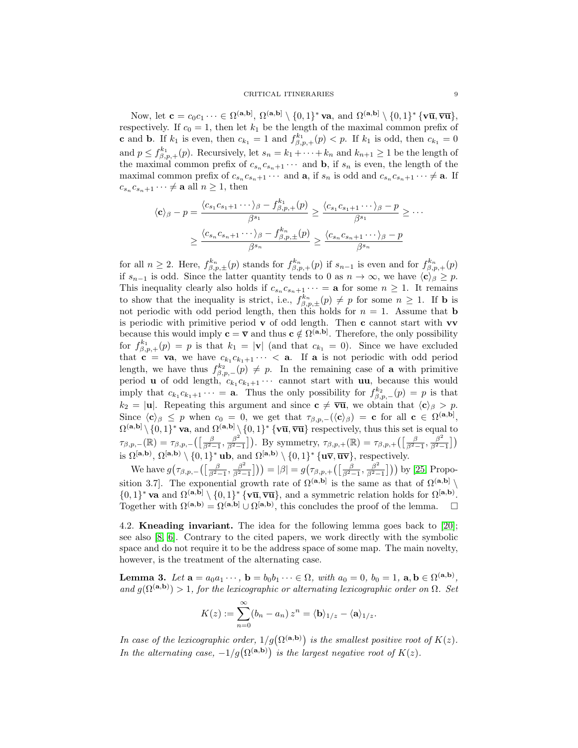Now, let  $\mathbf{c} = c_0 c_1 \cdots \in \Omega^{(\mathbf{a},\mathbf{b}]}, \Omega^{(\mathbf{a},\mathbf{b}]} \setminus \{0,1\}^*$  va, and  $\Omega^{(\mathbf{a},\mathbf{b}]} \setminus \{0,1\}^*$   $\{\mathbf{v}\overline{\mathbf{u}}, \overline{\mathbf{v}}\overline{\mathbf{u}}\},\$ respectively. If  $c_0 = 1$ , then let  $k_1$  be the length of the maximal common prefix of **c** and **b**. If  $k_1$  is even, then  $c_{k_1} = 1$  and  $f_{\beta,p,+}^{k_1}(p) < p$ . If  $k_1$  is odd, then  $c_{k_1} = 0$ and  $p \leq f_{\beta,p,+}^{k_1}(p)$ . Recursively, let  $s_n = k_1 + \cdots + k_n$  and  $k_{n+1} \geq 1$  be the length of the maximal common prefix of  $c_{s_n}c_{s_n+1}\cdots$  and **b**, if  $s_n$  is even, the length of the maximal common prefix of  $c_{s_n}c_{s_n+1}\cdots$  and  $\mathbf{a}$ , if  $s_n$  is odd and  $c_{s_n}c_{s_n+1}\cdots \neq \mathbf{a}$ . If  $c_{s_n} c_{s_n+1} \cdots \neq \mathbf{a}$  all  $n \geq 1$ , then

$$
\langle \mathbf{c} \rangle_{\beta} - p = \frac{\langle c_{s_1} c_{s_1+1} \cdots \rangle_{\beta} - f_{\beta, p,+}^{k_1}(p)}{\beta^{s_1}} \ge \frac{\langle c_{s_1} c_{s_1+1} \cdots \rangle_{\beta} - p}{\beta^{s_1}} \ge \cdots
$$

$$
\ge \frac{\langle c_{s_n} c_{s_n+1} \cdots \rangle_{\beta} - f_{\beta, p,\pm}^{k_n}(p)}{\beta^{s_n}} \ge \frac{\langle c_{s_n} c_{s_n+1} \cdots \rangle_{\beta} - p}{\beta^{s_n}}
$$

for all  $n \geq 2$ . Here,  $f_{\beta,p,\pm}^{k_n}(p)$  stands for  $f_{\beta,p,\pm}^{k_n}(p)$  if  $s_{n-1}$  is even and for  $f_{\beta,p,\pm}^{k_n}(p)$ if  $s_{n-1}$  is odd. Since the latter quantity tends to 0 as  $n \to \infty$ , we have  $\langle c \rangle_{\beta} \geq p$ . This inequality clearly also holds if  $c_{s_n}c_{s_n+1}\cdots = \mathbf{a}$  for some  $n \geq 1$ . It remains to show that the inequality is strict, i.e.,  $f_{\beta,p,\pm}^{k_n}(p) \neq p$  for some  $n \geq 1$ . If **b** is not periodic with odd period length, then this holds for  $n = 1$ . Assume that **b** is periodic with primitive period  $\bf{v}$  of odd length. Then  $\bf{c}$  cannot start with  $\bf{vv}$ because this would imply  $\mathbf{c} = \overline{\mathbf{v}}$  and thus  $\mathbf{c} \notin \Omega^{(\mathbf{a},\mathbf{b}]}$ . Therefore, the only possibility for  $f_{\beta,p,+}^{k_1}(p) = p$  is that  $k_1 = |\mathbf{v}|$  (and that  $c_{k_1} = 0$ ). Since we have excluded that  $c = va$ , we have  $c_{k_1}c_{k_1+1}\cdots < a$ . If a is not periodic with odd period length, we have thus  $f_{\beta,p,-}^{k_2}(p) \neq p$ . In the remaining case of **a** with primitive period **u** of odd length,  $c_{k_1}c_{k_1+1}\cdots$  cannot start with **uu**, because this would imply that  $c_{k_1}c_{k_1+1}\cdots = \mathbf{a}$ . Thus the only possibility for  $f_{\beta,p,-}^{k_2}(p) = p$  is that  $k_2 = |\mathbf{u}|$ . Repeating this argument and since  $\mathbf{c} \neq \overline{\mathbf{vu}}$ , we obtain that  $\langle \mathbf{c} \rangle_\beta > p$ . Since  $\langle c \rangle_{\beta} \leq p$  when  $c_0 = 0$ , we get that  $\tau_{\beta,p,-}(\langle c \rangle_{\beta}) = c$  for all  $c \in \Omega^{(a,b]},$  $\Omega^{(a,b]} \setminus \{0,1\}^*$  va, and  $\Omega^{(a,b]} \setminus \{0,1\}^*$  {v $\overline{u}, \overline{vu}$ } respectively, thus this set is equal to  $\tau_{\beta,p,-}(\mathbb{R})=\tau_{\beta,p,-}\big(\big[\frac{\beta}{\beta^2-1},\frac{\beta^2}{\beta^2-1}\big]$  $\left[\frac{\beta^2}{\beta^2-1}\right]$ ). By symmetry,  $\tau_{\beta,p,+}(\mathbb{R}) = \tau_{\beta,p,+}\left(\left[\frac{\beta}{\beta^2-1},\frac{\beta^2}{\beta^2-1}\right]\right)$  $\frac{\beta^2}{\beta^2-1}\big]\big)$ is  $\Omega^{[a,b)}, \Omega^{[a,b)} \setminus \{0,1\}^*$  ub, and  $\Omega^{[a,b)} \setminus \{0,1\}^*$   $\{u\overline{v}, \overline{uv}\}$ , respectively.

We have  $g\left(\tau_{\beta,p,-}\left(\left[\frac{\beta}{\beta^2-1},\frac{\beta^2}{\beta^2-1}\right]\right)\right)$  $\left[\frac{\beta^2}{\beta^2-1}\right]\big)\big)=\left|\beta\right|=g\big(\tau_{\beta,p,+}\big(\big[\frac{\beta}{\beta^2-1},\frac{\beta^2}{\beta^2-1}\big]$  $\frac{\beta^2}{\beta^2-1}$ )) by [\[25,](#page-17-21) Proposition 3.7. The exponential growth rate of  $\Omega^{(a,b)}$  is the same as that of  $\Omega^{(a,b)}$  $\{0,1\}^*$  va and  $\Omega^{(a,b]} \setminus \{0,1\}^*$  {vu, vu}, and a symmetric relation holds for  $\Omega^{[a,b)}$ . Together with  $\Omega^{(a,b)} = \Omega^{(a,b)} \cup \Omega^{[a,b)}$ , this concludes the proof of the lemma.  $\Box$ 

4.2. Kneading invariant. The idea for the following lemma goes back to [\[20\]](#page-17-17); see also [\[8,](#page-17-23) [6\]](#page-17-13). Contrary to the cited papers, we work directly with the symbolic space and do not require it to be the address space of some map. The main novelty, however, is the treatment of the alternating case.

<span id="page-8-0"></span>**Lemma 3.** Let  $\mathbf{a} = a_0 a_1 \cdots, \mathbf{b} = b_0 b_1 \cdots \in \Omega$ , with  $a_0 = 0, b_0 = 1, \mathbf{a}, \mathbf{b} \in \Omega^{(\mathbf{a}, \mathbf{b})}$ , and  $g(\Omega^{(\mathbf{a},\mathbf{b})}) > 1$ , for the lexicographic or alternating lexicographic order on  $\Omega$ . Set

$$
K(z) := \sum_{n=0}^{\infty} (b_n - a_n) z^n = \langle \mathbf{b} \rangle_{1/z} - \langle \mathbf{a} \rangle_{1/z}.
$$

In case of the lexicographic order,  $1/g(\Omega^{(a,b)})$  is the smallest positive root of  $K(z)$ . In the alternating case,  $-1/g(\Omega^{(a,b)})$  is the largest negative root of  $K(z)$ .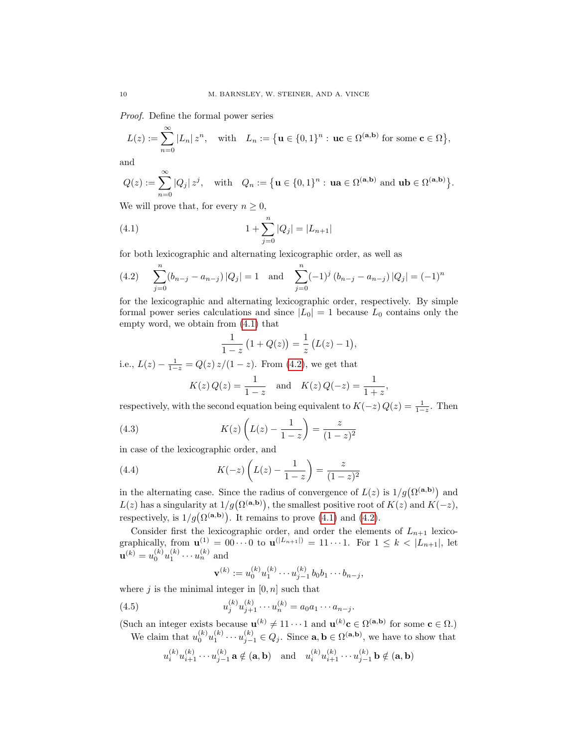Proof. Define the formal power series

$$
L(z) := \sum_{n=0}^{\infty} |L_n| z^n, \quad \text{with} \quad L_n := \left\{ \mathbf{u} \in \{0,1\}^n : \, \mathbf{u}\mathbf{c} \in \Omega^{(\mathbf{a},\mathbf{b})} \text{ for some } \mathbf{c} \in \Omega \right\},
$$

and

$$
Q(z) := \sum_{n=0}^{\infty} |Q_j| z^j, \quad \text{with} \quad Q_n := \left\{ \mathbf{u} \in \{0,1\}^n : \, \mathbf{u}\mathbf{a} \in \Omega^{(\mathbf{a},\mathbf{b})} \text{ and } \mathbf{u}\mathbf{b} \in \Omega^{(\mathbf{a},\mathbf{b})} \right\}.
$$

We will prove that, for every  $n \geq 0$ ,

(4.1) 
$$
1 + \sum_{j=0}^{n} |Q_j| = |L_{n+1}|
$$

for both lexicographic and alternating lexicographic order, as well as

<span id="page-9-1"></span>(4.2) 
$$
\sum_{j=0}^{n} (b_{n-j} - a_{n-j}) |Q_j| = 1 \text{ and } \sum_{j=0}^{n} (-1)^j (b_{n-j} - a_{n-j}) |Q_j| = (-1)^n
$$

for the lexicographic and alternating lexicographic order, respectively. By simple formal power series calculations and since  $|L_0| = 1$  because  $L_0$  contains only the empty word, we obtain from [\(4.1\)](#page-9-0) that

<span id="page-9-0"></span>
$$
\frac{1}{1-z}(1+Q(z)) = \frac{1}{z}(L(z)-1),
$$

i.e.,  $L(z) - \frac{1}{1-z} = Q(z) z/(1-z)$ . From [\(4.2\)](#page-9-1), we get that

$$
K(z) Q(z) = \frac{1}{1-z}
$$
 and  $K(z) Q(-z) = \frac{1}{1+z}$ ,

respectively, with the second equation being equivalent to  $K(-z)Q(z) = \frac{1}{1-z}$ . Then

(4.3) 
$$
K(z) \left( L(z) - \frac{1}{1-z} \right) = \frac{z}{(1-z)^2}
$$

in case of the lexicographic order, and

(4.4) 
$$
K(-z)\left(L(z) - \frac{1}{1-z}\right) = \frac{z}{(1-z)^2}
$$

in the alternating case. Since the radius of convergence of  $L(z)$  is  $1/g(\Omega^{(a,b)})$  and  $L(z)$  has a singularity at  $1/g(\Omega^{(a,b)})$ , the smallest positive root of  $K(z)$  and  $K(-z)$ , respectively, is  $1/g(\Omega^{(\mathbf{a},\mathbf{b})})$ . It remains to prove [\(4.1\)](#page-9-0) and [\(4.2\)](#page-9-1).

Consider first the lexicographic order, and order the elements of  $L_{n+1}$  lexicographically, from  ${\bf u}^{(1)} = 00 \cdots 0$  to  ${\bf u}^{(|L_{n+1}|)} = 11 \cdots 1$ . For  $1 \leq k < |L_{n+1}|$ , let  $\mathbf{u}^{(k)} = u_0^{(k)} u_1^{(k)} \cdots u_n^{(k)}$  and

<span id="page-9-2"></span>
$$
\mathbf{v}^{(k)} := u_0^{(k)} u_1^{(k)} \cdots u_{j-1}^{(k)} b_0 b_1 \cdots b_{n-j},
$$

where  $j$  is the minimal integer in  $[0, n]$  such that

(4.5) 
$$
u_j^{(k)}u_{j+1}^{(k)}\cdots u_n^{(k)} = a_0a_1\cdots a_{n-j}.
$$

(Such an integer exists because  $\mathbf{u}^{(k)} \neq 11 \cdots 1$  and  $\mathbf{u}^{(k)} \mathbf{c} \in \Omega^{(\mathbf{a},\mathbf{b})}$  for some  $\mathbf{c} \in \Omega$ .) We claim that  $u_0^{(k)}u_1^{(k)}\cdots u_{j-1}^{(k)}\in Q_j$ . Since  $\mathbf{a},\mathbf{b}\in\Omega^{(\mathbf{a},\mathbf{b})}$ , we have to show that

$$
u_i^{(k)}u_{i+1}^{(k)}\cdots u_{j-1}^{(k)}
$$
**a**  $\notin$  (**a**, **b**) and  $u_i^{(k)}u_{i+1}^{(k)}\cdots u_{j-1}^{(k)}$ **b**  $\notin$  (**a**, **b**)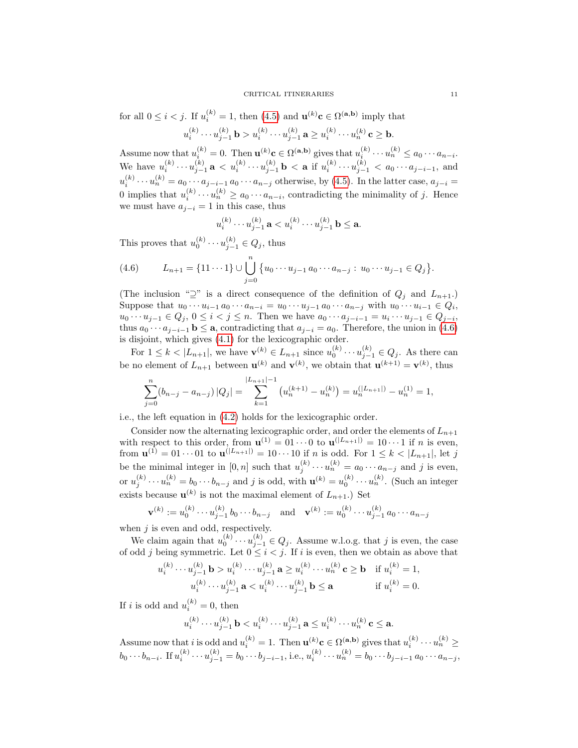for all  $0 \le i < j$ . If  $u_i^{(k)} = 1$ , then  $(4.5)$  and  $\mathbf{u}^{(k)}\mathbf{c} \in \Omega^{(\mathbf{a},\mathbf{b})}$  imply that  $u_i^{(k)}\cdots u_{j-1}^{(k)}$  b  $>u_i^{(k)}\cdots u_{j-1}^{(k)}$  a  $\geq u_i^{(k)}\cdots u_n^{(k)}$  c  $\geq$  b.

Assume now that  $u_i^{(k)} = 0$ . Then  $\mathbf{u}^{(k)} \mathbf{c} \in \Omega^{(a,b)}$  gives that  $u_i^{(k)} \cdots u_n^{(k)} \leq a_0 \cdots a_{n-i}$ . We have  $u_i^{(k)} \cdots u_{j-1}^{(k)}$  a  $\lt u_i^{(k)} \cdots u_{j-1}^{(k)}$  b  $\lt a$  if  $u_i^{(k)} \cdots u_{j-1}^{(k)} < a_0 \cdots a_{j-i-1}$ , and  $u_i^{(k)} \cdots u_n^{(k)} = a_0 \cdots a_{j-i-1} a_0 \cdots a_{n-j}$  otherwise, by [\(4.5\)](#page-9-2). In the latter case,  $a_{j-i} =$ 0 implies that  $u_i^{(k)} \cdots u_n^{(k)} \ge a_0 \cdots a_{n-i}$ , contradicting the minimality of j. Hence we must have  $a_{i-i} = 1$  in this case, thus

$$
u_i^{(k)} \cdots u_{j-1}^{(k)} \mathbf{a} < u_i^{(k)} \cdots u_{j-1}^{(k)} \mathbf{b} \leq \mathbf{a}.
$$

This proves that  $u_0^{(k)} \cdots u_{j-1}^{(k)} \in Q_j$ , thus

<span id="page-10-0"></span>(4.6) 
$$
L_{n+1} = \{11 \cdots 1\} \cup \bigcup_{j=0}^{n} \{u_0 \cdots u_{j-1} a_0 \cdots a_{n-j} : u_0 \cdots u_{j-1} \in Q_j\}.
$$

(The inclusion " $\supseteq$ " is a direct consequence of the definition of  $Q_j$  and  $L_{n+1}$ .) Suppose that  $u_0 \cdots u_{i-1} a_0 \cdots a_{n-i} = u_0 \cdots u_{j-1} a_0 \cdots a_{n-j}$  with  $u_0 \cdots u_{i-1} \in Q_i$ ,  $u_0 \cdots u_{j-1} \in Q_j, \, 0 \leq i < j \leq n.$  Then we have  $a_0 \cdots a_{j-i-1} = u_i \cdots u_{j-1} \in Q_{j-i},$ thus  $a_0 \cdots a_{i-i-1}$  **b**  $\leq$  **a**, contradicting that  $a_{i-i} = a_0$ . Therefore, the union in [\(4.6\)](#page-10-0) is disjoint, which gives [\(4.1\)](#page-9-0) for the lexicographic order.

For  $1 \leq k < |L_{n+1}|$ , we have  $\mathbf{v}^{(k)} \in L_{n+1}$  since  $u_0^{(k)} \cdots u_{j-1}^{(k)} \in Q_j$ . As there can be no element of  $L_{n+1}$  between  $\mathbf{u}^{(k)}$  and  $\mathbf{v}^{(k)}$ , we obtain that  $\mathbf{u}^{(k+1)} = \mathbf{v}^{(k)}$ , thus

$$
\sum_{j=0}^{n} (b_{n-j} - a_{n-j}) |Q_j| = \sum_{k=1}^{|L_{n+1}|-1} (u_n^{(k+1)} - u_n^{(k)}) = u_n^{(|L_{n+1}|)} - u_n^{(1)} = 1,
$$

i.e., the left equation in [\(4.2\)](#page-9-1) holds for the lexicographic order.

Consider now the alternating lexicographic order, and order the elements of  $L_{n+1}$ with respect to this order, from  $\mathbf{u}^{(1)} = 01 \cdots 0$  to  $\mathbf{u}^{(|L_{n+1}|)} = 10 \cdots 1$  if *n* is even, from  $\mathbf{u}^{(1)} = 01 \cdots 01$  to  $\mathbf{u}^{(|L_{n+1}|)} = 10 \cdots 10$  if *n* is odd. For  $1 \leq k < |L_{n+1}|$ , let j be the minimal integer in  $[0, n]$  such that  $u_j^{(k)} \cdots u_n^{(k)} = a_0 \cdots a_{n-j}$  and j is even, or  $u_j^{(k)} \cdots u_n^{(k)} = b_0 \cdots b_{n-j}$  and j is odd, with  $\mathbf{u}^{(k)} = u_0^{(k)} \cdots u_n^{(k)}$ . (Such an integer exists because  $\mathbf{u}^{(k)}$  is not the maximal element of  $L_{n+1}$ .) Set

$$
\mathbf{v}^{(k)} := u_0^{(k)} \cdots u_{j-1}^{(k)} b_0 \cdots b_{n-j} \quad \text{and} \quad \mathbf{v}^{(k)} := u_0^{(k)} \cdots u_{j-1}^{(k)} a_0 \cdots a_{n-j}
$$

when  $j$  is even and odd, respectively.

We claim again that  $u_0^{(k)} \cdots u_{j-1}^{(k)} \in Q_j$ . Assume w.l.o.g. that j is even, the case of odd j being symmetric. Let  $0 \leq i < j$ . If i is even, then we obtain as above that

$$
u_i^{(k)} \cdots u_{j-1}^{(k)} \mathbf{b} > u_i^{(k)} \cdots u_{j-1}^{(k)} \mathbf{a} \ge u_i^{(k)} \cdots u_n^{(k)} \mathbf{c} \ge \mathbf{b} \quad \text{if } u_i^{(k)} = 1,
$$
\n
$$
u_i^{(k)} \cdots u_{j-1}^{(k)} \mathbf{a} < u_i^{(k)} \cdots u_{j-1}^{(k)} \mathbf{b} \le \mathbf{a} \qquad \text{if } u_i^{(k)} = 0.
$$

If *i* is odd and  $u_i^{(k)} = 0$ , then

$$
u_i^{(k)} \cdots u_{j-1}^{(k)} \mathbf{b} < u_i^{(k)} \cdots u_{j-1}^{(k)} \mathbf{a} \le u_i^{(k)} \cdots u_n^{(k)} \mathbf{c} \le \mathbf{a}.
$$

Assume now that i is odd and  $u_i^{(k)} = 1$ . Then  $\mathbf{u}^{(k)} \mathbf{c} \in \Omega^{(a,b)}$  gives that  $u_i^{(k)} \cdots u_n^{(k)} \geq$  $b_0 \cdots b_{n-i}$ . If  $u_i^{(k)} \cdots u_{j-1}^{(k)} = b_0 \cdots b_{j-i-1}$ , i.e.,  $u_i^{(k)} \cdots u_n^{(k)} = b_0 \cdots b_{j-i-1} a_0 \cdots a_{n-j}$ ,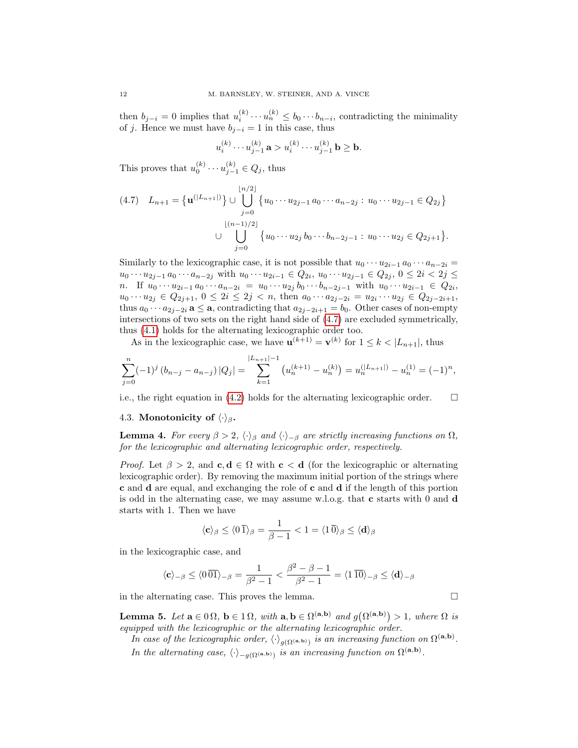then  $b_{j-i} = 0$  implies that  $u_i^{(k)} \cdots u_n^{(k)} \leq b_0 \cdots b_{n-i}$ , contradicting the minimality of j. Hence we must have  $b_{j-i} = 1$  in this case, thus

$$
u_i^{(k)} \cdots u_{j-1}^{(k)} \mathbf{a} > u_i^{(k)} \cdots u_{j-1}^{(k)} \mathbf{b} \ge \mathbf{b}.
$$

This proves that  $u_0^{(k)} \cdots u_{j-1}^{(k)} \in Q_j$ , thus

<span id="page-11-0"></span>
$$
(4.7) \quad L_{n+1} = \left\{ \mathbf{u}^{(|L_{n+1}|)} \right\} \cup \bigcup_{j=0}^{\lfloor n/2 \rfloor} \left\{ u_0 \cdots u_{2j-1} a_0 \cdots a_{n-2j} : u_0 \cdots u_{2j-1} \in Q_{2j} \right\}
$$

$$
\cup \bigcup_{j=0}^{\lfloor (n-1)/2 \rfloor} \left\{ u_0 \cdots u_{2j} b_0 \cdots b_{n-2j-1} : u_0 \cdots u_{2j} \in Q_{2j+1} \right\}.
$$

Similarly to the lexicographic case, it is not possible that  $u_0 \cdots u_{2i-1} a_0 \cdots a_{n-2i} =$  $u_0 \cdots u_{2j-1} a_0 \cdots a_{n-2j}$  with  $u_0 \cdots u_{2i-1} \in Q_{2i}, u_0 \cdots u_{2j-1} \in Q_{2j}, 0 \leq 2i < 2j \leq j$ *n*. If  $u_0 \cdots u_{2i-1} a_0 \cdots a_{n-2i} = u_0 \cdots u_{2j} b_0 \cdots b_{n-2j-1}$  with  $u_0 \cdots u_{2i-1} \in Q_{2i}$ ,  $u_0 \cdots u_{2j} \in Q_{2j+1}, 0 \leq 2i \leq 2j < n$ , then  $a_0 \cdots a_{2j-2i} = u_{2i} \cdots u_{2j} \in Q_{2j-2i+1}$ , thus  $a_0 \cdots a_{2j-2i}$  **a**  $\le$  **a**, contradicting that  $a_{2j-2i+1} = b_0$ . Other cases of non-empty intersections of two sets on the right hand side of [\(4.7\)](#page-11-0) are excluded symmetrically, thus [\(4.1\)](#page-9-0) holds for the alternating lexicographic order too.

As in the lexicographic case, we have  $\mathbf{u}^{(k+1)} = \mathbf{v}^{(k)}$  for  $1 \leq k < |L_{n+1}|$ , thus

$$
\sum_{j=0}^{n} (-1)^{j} (b_{n-j} - a_{n-j}) |Q_j| = \sum_{k=1}^{|L_{n+1}|-1} (u_n^{(k+1)} - u_n^{(k)}) = u_n^{(|L_{n+1}|)} - u_n^{(1)} = (-1)^n,
$$

i.e., the right equation in [\(4.2\)](#page-9-1) holds for the alternating lexicographic order.  $\Box$ 

### 4.3. Monotonicity of  $\langle \cdot \rangle_{\beta}$ .

<span id="page-11-1"></span>**Lemma 4.** For every  $\beta > 2$ ,  $\langle \cdot \rangle_{\beta}$  and  $\langle \cdot \rangle_{-\beta}$  are strictly increasing functions on  $\Omega$ , for the lexicographic and alternating lexicographic order, respectively.

*Proof.* Let  $\beta > 2$ , and  $c, d \in \Omega$  with  $c < d$  (for the lexicographic or alternating lexicographic order). By removing the maximum initial portion of the strings where c and d are equal, and exchanging the role of c and d if the length of this portion is odd in the alternating case, we may assume w.l.o.g. that c starts with 0 and d starts with 1. Then we have

$$
\langle {\bf c} \rangle_{\beta} \le \langle 0 \, \overline{1} \rangle_{\beta} = \frac{1}{\beta - 1} < 1 = \langle 1 \, \overline{0} \rangle_{\beta} \le \langle {\bf d} \rangle_{\beta}
$$

in the lexicographic case, and

$$
\langle \mathbf{c} \rangle_{-\beta} \le \langle 0 \, \overline{01} \rangle_{-\beta} = \frac{1}{\beta^2 - 1} < \frac{\beta^2 - \beta - 1}{\beta^2 - 1} = \langle 1 \, \overline{10} \rangle_{-\beta} \le \langle \mathbf{d} \rangle_{-\beta}
$$

in the alternating case. This proves the lemma.

<span id="page-11-2"></span>**Lemma 5.** Let  $\mathbf{a} \in \Omega \Omega$ ,  $\mathbf{b} \in \Omega$ , with  $\mathbf{a}, \mathbf{b} \in \Omega^{(\mathbf{a}, \mathbf{b})}$  and  $g(\Omega^{(\mathbf{a}, \mathbf{b})}) > 1$ , where  $\Omega$  is equipped with the lexicographic or the alternating lexicographic order.

In case of the lexicographic order,  $\langle \cdot \rangle_{g(\Omega^{(\mathbf{a},\mathbf{b})})}$  is an increasing function on  $\Omega^{(\mathbf{a},\mathbf{b})}$ . In the alternating case,  $\langle \cdot \rangle_{-g(\Omega^{(\mathbf{a},\mathbf{b})})}$  is an increasing function on  $\Omega^{(\mathbf{a},\mathbf{b})}$ .

$$
\Box
$$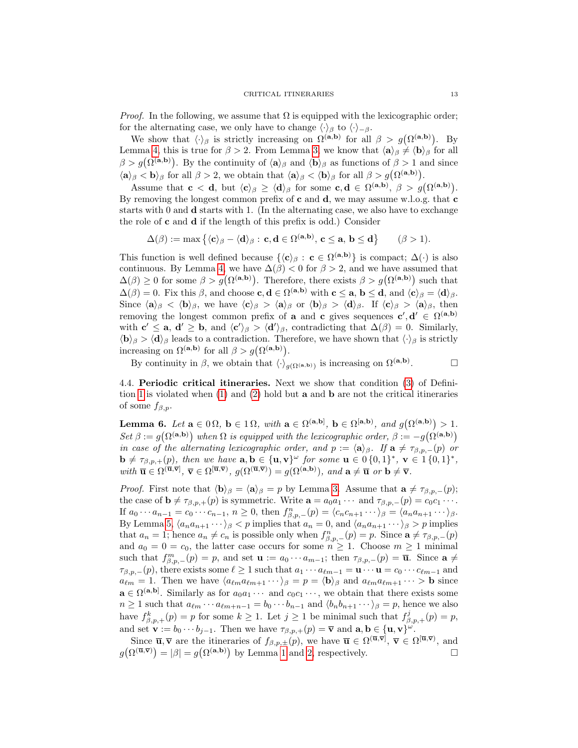*Proof.* In the following, we assume that  $\Omega$  is equipped with the lexicographic order; for the alternating case, we only have to change  $\langle \cdot \rangle_{\beta}$  to  $\langle \cdot \rangle_{-\beta}$ .

We show that  $\langle \cdot \rangle_{\beta}$  is strictly increasing on  $\Omega^{(a,b)}$  for all  $\beta > g(\Omega^{(a,b)})$ . By Lemma [4,](#page-11-1) this is true for  $\beta > 2$ . From Lemma [3,](#page-8-0) we know that  $\langle \mathbf{a} \rangle_{\beta} \neq \langle \mathbf{b} \rangle_{\beta}$  for all  $\beta > g(\Omega^{(a,b)})$ . By the continuity of  $\langle a \rangle_{\beta}$  and  $\langle b \rangle_{\beta}$  as functions of  $\beta > 1$  and since  $\langle \mathbf{a} \rangle_{\beta} < \mathbf{b} \rangle_{\beta}$  for all  $\beta > 2$ , we obtain that  $\langle \mathbf{a} \rangle_{\beta} < \langle \mathbf{b} \rangle_{\beta}$  for all  $\beta > g(\Omega^{(\mathbf{a},\mathbf{b})}).$ 

Assume that  $c < d$ , but  $\langle c \rangle_{\beta} \ge \langle d \rangle_{\beta}$  for some  $c, d \in \Omega^{(a,b)}, \beta > g(\Omega^{(a,b)})$ . By removing the longest common prefix of c and  $d$ , we may assume w.l.o.g. that c starts with 0 and d starts with 1. (In the alternating case, we also have to exchange the role of  $c$  and  $d$  if the length of this prefix is odd.) Consider

$$
\Delta(\beta) := \max \left\{ \langle \mathbf{c} \rangle_{\beta} - \langle \mathbf{d} \rangle_{\beta} : \mathbf{c}, \mathbf{d} \in \Omega^{(\mathbf{a}, \mathbf{b})}, \mathbf{c} \leq \mathbf{a}, \mathbf{b} \leq \mathbf{d} \right\} \qquad (\beta > 1).
$$

This function is well defined because  $\{\langle c \rangle_\beta : c \in \Omega^{(a,b)}\}$  is compact;  $\Delta(\cdot)$  is also continuous. By Lemma [4,](#page-11-1) we have  $\Delta(\beta) < 0$  for  $\beta > 2$ , and we have assumed that  $\Delta(\beta) \geq 0$  for some  $\beta > g(\Omega^{(a,b)})$ . Therefore, there exists  $\beta > g(\Omega^{(a,b)})$  such that  $\Delta(\beta) = 0$ . Fix this  $\beta$ , and choose **c**, **d**  $\in \Omega^{(a,b)}$  with **c**  $\leq$  **a**, **b**  $\leq$  **d**, and  $\langle$ **c** $\rangle_{\beta} = \langle$ **d** $\rangle_{\beta}$ . Since  $\langle \mathbf{a} \rangle_{\beta} < \langle \mathbf{b} \rangle_{\beta}$ , we have  $\langle \mathbf{c} \rangle_{\beta} > \langle \mathbf{a} \rangle_{\beta}$  or  $\langle \mathbf{b} \rangle_{\beta} > \langle \mathbf{d} \rangle_{\beta}$ . If  $\langle \mathbf{c} \rangle_{\beta} > \langle \mathbf{a} \rangle_{\beta}$ , then removing the longest common prefix of **a** and **c** gives sequences  $c', d' \in \Omega^{(a,b)}$ with  $\mathbf{c}' \leq \mathbf{a}, \mathbf{d}' \geq \mathbf{b}, \text{ and } \langle \mathbf{c}' \rangle_{\beta} > \langle \mathbf{d}' \rangle_{\beta}, \text{ contradicting that } \Delta(\beta) = 0. \text{ Similarly,}$  $\langle \mathbf{b} \rangle_{\beta} > \langle \mathbf{d} \rangle_{\beta}$  leads to a contradiction. Therefore, we have shown that  $\langle \cdot \rangle_{\beta}$  is strictly increasing on  $\Omega^{(a,b)}$  for all  $\beta > g(\Omega^{(a,b)})$ .

By continuity in  $\beta$ , we obtain that  $\langle \cdot \rangle_{g(\Omega^{({\bf a}, {\bf b})})}$  is increasing on  $\Omega^{({\bf a}, {\bf b})}$ .

4.4. Periodic critical itineraries. Next we show that condition [\(3\)](#page-3-2) of Defini-tion [1](#page-3-4) is violated when  $(1)$  and  $(2)$  hold but **a** and **b** are not the critical itineraries of some  $f_{\beta,p}$ .

<span id="page-12-0"></span>**Lemma 6.** Let  $\mathbf{a} \in \Omega \Omega$ ,  $\mathbf{b} \in \Omega$ , with  $\mathbf{a} \in \Omega^{(\mathbf{a},\mathbf{b})}$ ,  $\mathbf{b} \in \Omega^{[\mathbf{a},\mathbf{b})}$ , and  $g(\Omega^{(\mathbf{a},\mathbf{b})}) > 1$ . Set  $\beta := g(\Omega^{(a,b)})$  when  $\Omega$  is equipped with the lexicographic order,  $\beta := -g(\Omega^{(a,b)})$ in case of the alternating lexicographic order, and  $p := \langle \mathbf{a} \rangle_{\beta}$ . If  $\mathbf{a} \neq \tau_{\beta, p,-}(p)$  or  $\mathbf{b} \neq \tau_{\beta,p,+}(p)$ , then we have  $\mathbf{a}, \mathbf{b} \in {\mathbf{u}, \mathbf{v}}^{\omega}$  for some  $\mathbf{u} \in \{0, 1\}^*, \mathbf{v} \in \{1\{0, 1\}^*,$ with  $\overline{\mathbf{u}} \in \Omega^{(\overline{\mathbf{u}}, \overline{\mathbf{v}})}, \overline{\mathbf{v}} \in \Omega^{[\overline{\mathbf{u}}, \overline{\mathbf{v}})}, g(\Omega^{(\overline{\mathbf{u}}, \overline{\mathbf{v}})}) = g(\Omega^{(\mathbf{a}, \mathbf{b})}), \text{ and } \mathbf{a} \neq \overline{\mathbf{u}} \text{ or } \mathbf{b} \neq \overline{\mathbf{v}}.$ 

*Proof.* First note that  $\langle \mathbf{b} \rangle_{\beta} = \langle \mathbf{a} \rangle_{\beta} = p$  by Lemma [3.](#page-8-0) Assume that  $\mathbf{a} \neq \tau_{\beta,p,-}(p);$ the case of  $\mathbf{b} \neq \tau_{\beta,p,+}(p)$  is symmetric. Write  $\mathbf{a} = a_0a_1 \cdots$  and  $\tau_{\beta,p,-}(p) = c_0c_1 \cdots$ . If  $a_0 \cdots a_{n-1} = c_0 \cdots c_{n-1}, n \ge 0$ , then  $f_{\beta,p,-}^n(p) = \langle c_n c_{n+1} \cdots \rangle_\beta = \langle a_n a_{n+1} \cdots \rangle_\beta$ . By Lemma [5,](#page-11-2)  $\langle a_n a_{n+1} \cdots \rangle_{\beta} < p$  implies that  $a_n = 0$ , and  $\langle a_n a_{n+1} \cdots \rangle_{\beta} > p$  implies that  $a_n = 1$ ; hence  $a_n \neq c_n$  is possible only when  $f_{\beta,p,-}^n(p) = p$ . Since  $\mathbf{a} \neq \tau_{\beta,p,-}(p)$ and  $a_0 = 0 = c_0$ , the latter case occurs for some  $n \geq 1$ . Choose  $m \geq 1$  minimal such that  $f_{\beta,p,-}^m(p) = p$ , and set  $\mathbf{u} := a_0 \cdots a_{m-1}$ ; then  $\tau_{\beta,p,-}(p) = \overline{\mathbf{u}}$ . Since  $\mathbf{a} \neq$  $\tau_{\beta,p,-}(p)$ , there exists some  $\ell \geq 1$  such that  $a_1 \cdots a_{\ell m-1} = \mathbf{u} \cdots \mathbf{u} = c_0 \cdots c_{\ell m-1}$  and  $a_{\ell m} = 1$ . Then we have  $\langle a_{\ell m} a_{\ell m+1} \cdots \rangle_{\beta} = p = \langle \mathbf{b} \rangle_{\beta}$  and  $a_{\ell m} a_{\ell m+1} \cdots > \mathbf{b}$  since  $\mathbf{a} \in \Omega^{(\mathbf{a},\mathbf{b})}$ . Similarly as for  $a_0a_1 \cdots$  and  $c_0c_1 \cdots$ , we obtain that there exists some  $n \geq 1$  such that  $a_{\ell m} \cdots a_{\ell m+n-1} = b_0 \cdots b_{n-1}$  and  $\langle b_n b_{n+1} \cdots \rangle_{\beta} = p$ , hence we also have  $f_{\beta,p,+}^k(p) = p$  for some  $k \geq 1$ . Let  $j \geq 1$  be minimal such that  $f_{\beta,p,+}^j(p) = p$ , and set  $\mathbf{v} := b_0 \cdots b_{j-1}$ . Then we have  $\tau_{\beta,p,+}(p) = \overline{\mathbf{v}}$  and  $\mathbf{a}, \mathbf{b} \in {\{\mathbf{u}, \mathbf{v}\}}^{\omega}$ .

Since  $\overline{\mathbf{u}}, \overline{\mathbf{v}}$  are the itineraries of  $f_{\beta,p,\pm}(p)$ , we have  $\overline{\mathbf{u}} \in \Omega^{(\overline{\mathbf{u}}, \overline{\mathbf{v}})}$ ,  $\overline{\mathbf{v}} \in \Omega^{[\overline{\mathbf{u}}, \overline{\mathbf{v}})}$ , and  $g(\Omega^{(\overline{\mathbf{u}},\overline{\mathbf{v}})}) = |\beta| = g(\Omega^{(\mathbf{a},\mathbf{b})})$  by Lemma [1](#page-6-1) and [2,](#page-7-0) respectively.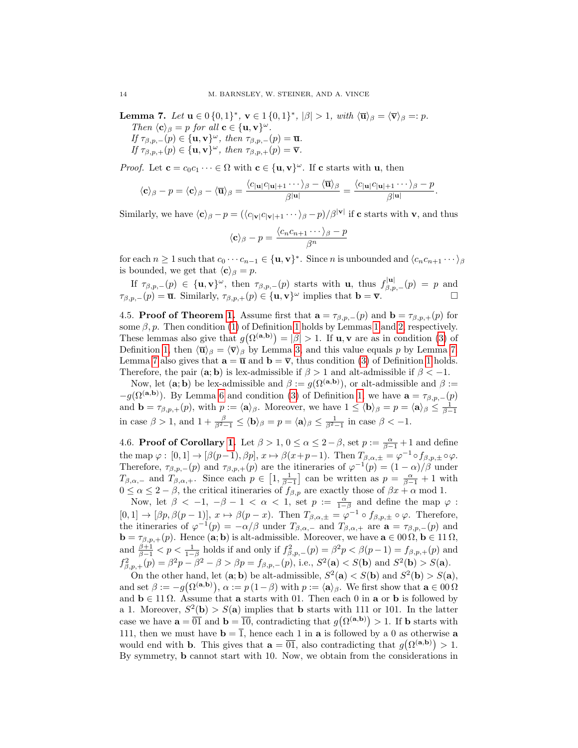<span id="page-13-0"></span>Lemma 7. Let  $u \in \{0,1\}^*$ ,  $v \in 1 \{0,1\}^*$ ,  $|\beta| > 1$ , with  $\langle \overline{u} \rangle_{\beta} = \langle \overline{v} \rangle_{\beta} =: p$ . Then  $\langle \mathbf{c} \rangle_{\beta} = p$  for all  $\mathbf{c} \in {\{\mathbf{u}, \mathbf{v}\}}^{\omega}$ . If  $\tau_{\beta,p,-}(p) \in {\{\mathbf{u}, \mathbf{v}\}}^{\omega}$ , then  $\tau_{\beta,p,-}(p) = \overline{\mathbf{u}}$ . If  $\tau_{\beta,p,+}(p) \in {\{\mathbf{u}, \mathbf{v}\}}^{\omega}$ , then  $\tau_{\beta,p,+}(p) = \overline{\mathbf{v}}$ .

*Proof.* Let  $\mathbf{c} = c_0 c_1 \cdots \in \Omega$  with  $\mathbf{c} \in {\{\mathbf{u}, \mathbf{v}\}}^\omega$ . If  $\mathbf{c}$  starts with  $\mathbf{u}$ , then

$$
\langle \mathbf{c} \rangle_{\beta} - p = \langle \mathbf{c} \rangle_{\beta} - \langle \overline{\mathbf{u}} \rangle_{\beta} = \frac{\langle c_{|\mathbf{u}|} c_{|\mathbf{u}|+1} \cdots \rangle_{\beta} - \langle \overline{\mathbf{u}} \rangle_{\beta}}{\beta^{|\mathbf{u}|}} = \frac{\langle c_{|\mathbf{u}|} c_{|\mathbf{u}|+1} \cdots \rangle_{\beta} - p}{\beta^{|\mathbf{u}|}}.
$$

Similarly, we have  $\langle \mathbf{c} \rangle_{\beta} - p = (\langle c_{|\mathbf{v}|}c_{|\mathbf{v}|+1} \cdots \rangle_{\beta} - p)/\beta^{|\mathbf{v}|}$  if c starts with v, and thus

$$
\langle \mathbf{c} \rangle_{\beta} - p = \frac{\langle c_n c_{n+1} \cdots \rangle_{\beta} - p}{\beta^n}
$$

for each  $n \geq 1$  such that  $c_0 \cdots c_{n-1} \in {\mathbf{u}, \mathbf{v}}^*$ . Since n is unbounded and  $\langle c_n c_{n+1} \cdots \rangle_{\beta}$ is bounded, we get that  $\langle \mathbf{c} \rangle_{\beta} = p$ .

If  $\tau_{\beta,p,-}(p) \in {\{\mathbf{u},\mathbf{v}\}}^{\omega}$ , then  $\tau_{\beta,p,-}(p)$  starts with **u**, thus  $f_{\beta,p,-}^{|\mathbf{u}|}(p) = p$  and  $\tau_{\beta,p,-}(p) = \overline{\mathbf{u}}$ . Similarly,  $\tau_{\beta,p,+}(p) \in {\{\mathbf{u}, \mathbf{v}\}}^{\omega}$  implies that  $\mathbf{b} = \overline{\mathbf{v}}$ .

4.5. **Proof of Theorem [1.](#page-4-2)** Assume first that  $\mathbf{a} = \tau_{\beta,p,-}(p)$  and  $\mathbf{b} = \tau_{\beta,p,+}(p)$  for some  $\beta$ ,  $p$ . Then condition [\(1\)](#page-3-1) of Definition [1](#page-6-1) holds by Lemmas 1 and [2,](#page-7-0) respectively. These lemmas also give that  $g(\Omega^{(a,b)}) = |\beta| > 1$ . If **u**, **v** are as in condition [\(3\)](#page-3-2) of Definition [1,](#page-3-4) then  $\langle \overline{\mathbf{u}} \rangle_{\beta} = \langle \overline{\mathbf{v}} \rangle_{\beta}$  by Lemma [3,](#page-8-0) and this value equals p by Lemma [7.](#page-13-0) Lemma [7](#page-13-0) also gives that  $\mathbf{a} = \overline{\mathbf{u}}$  and  $\mathbf{b} = \overline{\mathbf{v}}$ , thus condition [\(3\)](#page-3-2) of Definition [1](#page-3-4) holds. Therefore, the pair (a; b) is lex-admissible if  $\beta > 1$  and alt-admissible if  $\beta < -1$ .

Now, let  $(\mathbf{a}; \mathbf{b})$  be lex-admissible and  $\beta := g(\Omega^{(\mathbf{a}, \mathbf{b})})$ , or alt-admissible and  $\beta :=$  $-g(\Omega^{(a,b)})$ . By Lemma [6](#page-12-0) and condition [\(3\)](#page-3-2) of Definition [1,](#page-3-4) we have  $a = \tau_{\beta,p,-}(p)$ and  $\mathbf{b} = \tau_{\beta,p,+}(p)$ , with  $p := \langle \mathbf{a} \rangle_{\beta}$ . Moreover, we have  $1 \le \langle \mathbf{b} \rangle_{\beta} = p = \langle \mathbf{a} \rangle_{\beta} \le \frac{1}{\beta - 1}$ in case  $\beta > 1$ , and  $1 + \frac{\beta}{\beta^2 - 1} \le \langle \mathbf{b} \rangle_{\beta} = p = \langle \mathbf{a} \rangle_{\beta} \le \frac{1}{\beta^2 - 1}$  in case  $\beta < -1$ .

4.6. **Proof of Corollary [1.](#page-4-3)** Let  $\beta > 1$ ,  $0 \le \alpha \le 2-\beta$ , set  $p := \frac{\alpha}{\beta-1} + 1$  and define the map  $\varphi : [0,1] \to [\beta(p-1), \beta p], x \mapsto \beta(x+p-1)$ . Then  $T_{\beta,\alpha,\pm} = \varphi^{-1} \circ f_{\beta,p,\pm} \circ \varphi$ . Therefore,  $\tau_{\beta,p,-}(p)$  and  $\tau_{\beta,p,+}(p)$  are the itineraries of  $\varphi^{-1}(p) = (1-\alpha)/\beta$  under  $T_{\beta,\alpha,-}$  and  $T_{\beta,\alpha,+}$ . Since each  $p \in \left[1,\frac{1}{\beta-1}\right]$  can be written as  $p = \frac{\alpha}{\beta-1} + 1$  with  $0 \le \alpha \le 2 - \beta$ , the critical itineraries of  $f_{\beta,p}$  are exactly those of  $\beta x + \alpha \mod 1$ .

Now, let  $\beta$  < -1,  $-\beta$  - 1 <  $\alpha$  < 1, set  $p := \frac{\alpha}{1-\beta}$  and define the map  $\varphi$ :  $[0,1] \to [\beta p, \beta (p-1)], x \mapsto \beta (p-x)$ . Then  $T_{\beta,\alpha,\pm} = \varphi^{-1} \circ f_{\beta,p,\pm} \circ \varphi$ . Therefore, the itineraries of  $\varphi^{-1}(p) = -\alpha/\beta$  under  $T_{\beta,\alpha,-}$  and  $T_{\beta,\alpha,+}$  are  $\mathbf{a} = \tau_{\beta,p,-}(p)$  and  $\mathbf{b} = \tau_{\beta,p,+}(p)$ . Hence  $(\mathbf{a}; \mathbf{b})$  is alt-admissible. Moreover, we have  $\mathbf{a} \in \{00\}$ ,  $\mathbf{b} \in \{11\}$ , and  $\frac{\beta+1}{\beta-1} < p < \frac{1}{1-\beta}$  holds if and only if  $f_{\beta,p,-}^2(p) = \beta^2 p < \beta(p-1) = f_{\beta,p,+}(p)$  and  $f_{\beta,p,+}^2(p) = \beta^2 p - \beta^2 - \beta > \beta p = f_{\beta,p,-}(p)$ , i.e.,  $S^2(\mathbf{a}) < S(\mathbf{b})$  and  $S^2(\mathbf{b}) > S(\mathbf{a})$ .

On the other hand, let  $(a, b)$  be alt-admissible,  $S^2(a) < S(b)$  and  $S^2(b) > S(a)$ , and set  $\beta := -g(\Omega^{(a,b)})$ ,  $\alpha := p(1-\beta)$  with  $p := \langle a \rangle_{\beta}$ . We first show that  $a \in 00 \Omega$ and  $\mathbf{b} \in \mathbb{1}\Omega$ . Assume that a starts with 01. Then each 0 in a or b is followed by a 1. Moreover,  $S^2(\mathbf{b}) > S(\mathbf{a})$  implies that **b** starts with 111 or 101. In the latter case we have  $\mathbf{a} = \overline{01}$  and  $\mathbf{b} = \overline{10}$ , contradicting that  $g(\Omega^{(\mathbf{a},\mathbf{b})}) > 1$ . If **b** starts with 111, then we must have  $\mathbf{b} = \overline{1}$ , hence each 1 in **a** is followed by a 0 as otherwise **a** would end with **b**. This gives that  $\mathbf{a} = \overline{01}$ , also contradicting that  $g(\Omega^{(\mathbf{a},\mathbf{b})}) > 1$ . By symmetry, b cannot start with 10. Now, we obtain from the considerations in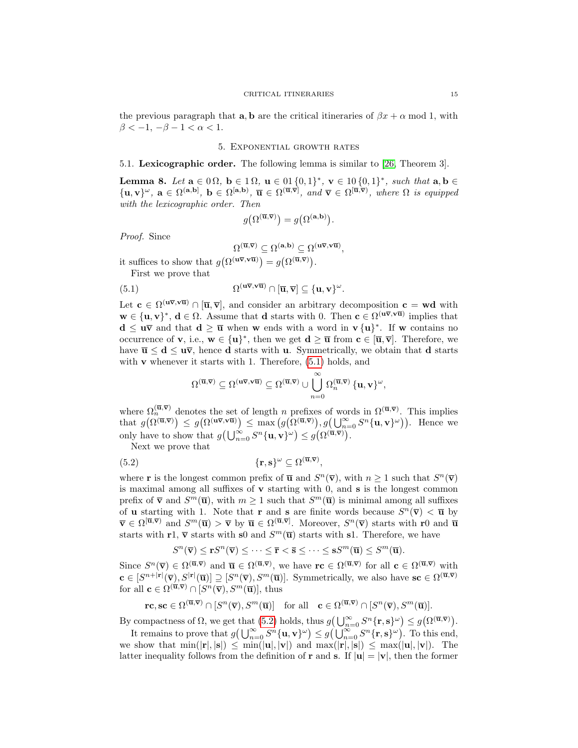the previous paragraph that **a**, **b** are the critical itineraries of  $\beta x + \alpha$  mod 1, with  $\beta < -1, -\beta - 1 < \alpha < 1.$ 

## 5. Exponential growth rates

#### <span id="page-14-0"></span>5.1. Lexicographic order. The following lemma is similar to [\[26,](#page-17-24) Theorem 3].

<span id="page-14-1"></span>Lemma 8. Let  $a \in 0 \Omega$ ,  $b \in 1 \Omega$ ,  $u \in 01 \{0, 1\}^*$ ,  $v \in 10 \{0, 1\}^*$ , such that  $a, b \in \Omega$  $\{\mathbf u,\mathbf v\}^\omega,\ \mathbf a\in\Omega^{(\mathbf a,\mathbf b)},\ \mathbf b\in\Omega^{[\mathbf a,\mathbf b)},\ \overline{\mathbf u}\in\Omega^{(\overline{\mathbf u},\overline{\mathbf v})},\ and\ \overline{\mathbf v}\in\Omega^{[\overline{\mathbf u},\overline{\mathbf v})},\ where\ \Omega\ is\ equipped$ with the lexicographic order. Then

$$
g(\Omega^{(\overline{\mathbf{u}},\overline{\mathbf{v}})}) = g(\Omega^{(\mathbf{a},\mathbf{b})}).
$$

Proof. Since

<span id="page-14-2"></span>
$$
\Omega^{(\overline{\mathbf{u}},\overline{\mathbf{v}})} \subseteq \Omega^{(\mathbf{a},\mathbf{b})} \subseteq \Omega^{(\mathbf{u}\overline{\mathbf{v}},\mathbf{v}\overline{\mathbf{u}})}
$$

,

it suffices to show that  $g(\Omega^{(\mathbf{u}\overline{\mathbf{v}}, \mathbf{v}\overline{\mathbf{u}})}) = g(\Omega^{(\overline{\mathbf{u}}, \overline{\mathbf{v}})})$ .

First we prove that

(5.1) 
$$
\Omega^{(\mathbf{u}\overline{\mathbf{v}},\mathbf{v}\overline{\mathbf{u}})} \cap [\overline{\mathbf{u}},\overline{\mathbf{v}}] \subseteq {\mathbf{u},\mathbf{v}}^{\omega}.
$$

Let  $c \in \Omega^{(\mathbf{u}\overline{\mathbf{v}}, \mathbf{v}\overline{\mathbf{u}})} \cap [\overline{\mathbf{u}}, \overline{\mathbf{v}}]$ , and consider an arbitrary decomposition  $c = \mathbf{w}\mathbf{d}$  with  $\mathbf{w} \in {\{\mathbf{u}, \mathbf{v}\}}^*, \mathbf{d} \in \Omega$ . Assume that **d** starts with 0. Then  $\mathbf{c} \in \Omega^{(\mathbf{u}\bar{\mathbf{v}}, \mathbf{v}\bar{\mathbf{u}})}$  implies that  $d \leq u\bar{v}$  and that  $d \geq \bar{u}$  when w ends with a word in  $v \{u\}^*$ . If w contains no occurrence of **v**, i.e.,  $\mathbf{w} \in {\{\mathbf{u}\}}^*$ , then we get  $\mathbf{d} \geq \overline{\mathbf{u}}$  from  $\mathbf{c} \in [\overline{\mathbf{u}}, \overline{\mathbf{v}}]$ . Therefore, we have  $\bar{u} \leq d \leq u\bar{v}$ , hence d starts with u. Symmetrically, we obtain that d starts with  $\bf{v}$  whenever it starts with 1. Therefore,  $(5.1)$  holds, and

<span id="page-14-3"></span>
$$
\Omega^{(\overline{\mathbf u},\overline{\mathbf v})}\subseteq \Omega^{(\mathbf u\overline{\mathbf v},\mathbf v\overline{\mathbf u})}\subseteq \Omega^{(\overline{\mathbf u},\overline{\mathbf v})}\cup\bigcup_{n=0}^\infty\Omega_n^{(\overline{\mathbf u},\overline{\mathbf v})}\,\{\mathbf u,\mathbf v\}^\omega,
$$

where  $\Omega_n^{(\overline{\mathbf{u}},\overline{\mathbf{v}})}$  denotes the set of length n prefixes of words in  $\Omega^{(\overline{\mathbf{u}},\overline{\mathbf{v}})}$ . This implies that  $g(\Omega^{(\overline{\mathbf{u}},\overline{\mathbf{v}})}) \leq g(\Omega^{(\mathbf{u}\overline{\mathbf{v}},\mathbf{v}\overline{\mathbf{u}})}) \leq \max(g(\Omega^{(\overline{\mathbf{u}},\overline{\mathbf{v}})})$ ,  $g(\bigcup_{n=0}^{\infty} S^n {\{\mathbf{u},\mathbf{v}\}}^{\omega})$ ). Hence we only have to show that  $g\left(\bigcup_{n=0}^{\infty} S^n \{\mathbf{u}, \mathbf{v}\}^{\omega}\right) \leq g\left(\Omega^{(\overline{\mathbf{u}}, \overline{\mathbf{v}})}\right)$ .

Next we prove that

(5.2) 
$$
\{\mathbf{r},\mathbf{s}\}^{\omega} \subseteq \Omega^{(\overline{\mathbf{u}},\overline{\mathbf{v}})},
$$

where **r** is the longest common prefix of  $\overline{u}$  and  $S^n(\overline{v})$ , with  $n \geq 1$  such that  $S^n(\overline{v})$ is maximal among all suffixes of  $\bf{v}$  starting with 0, and  $\bf{s}$  is the longest common prefix of  $\bar{\mathbf{v}}$  and  $S^m(\bar{\mathbf{u}})$ , with  $m \geq 1$  such that  $S^m(\bar{\mathbf{u}})$  is minimal among all suffixes of **u** starting with 1. Note that **r** and **s** are finite words because  $S^n(\overline{v}) < \overline{u}$  by  $\overline{\mathbf{v}} \in \Omega^{[\overline{\mathbf{u}}, \overline{\mathbf{v}}]}$  and  $S^m(\overline{\mathbf{u}}) > \overline{\mathbf{v}}$  by  $\overline{\mathbf{u}} \in \Omega^{[\overline{\mathbf{u}}, \overline{\mathbf{v}}]}$ . Moreover,  $S^n(\overline{\mathbf{v}})$  starts with r0 and  $\overline{\mathbf{u}}$ starts with  $r1$ ,  $\bar{v}$  starts with s0 and  $S^m(\bar{u})$  starts with s1. Therefore, we have

$$
S^{n}(\overline{\mathbf{v}}) \leq \mathbf{r}S^{n}(\overline{\mathbf{v}}) \leq \cdots \leq \overline{\mathbf{r}} < \overline{\mathbf{s}} \leq \cdots \leq \mathbf{s}S^{m}(\overline{\mathbf{u}}) \leq S^{m}(\overline{\mathbf{u}}).
$$

Since  $S^n(\overline{\mathbf{v}}) \in \Omega^{(\overline{\mathbf{u}}, \overline{\mathbf{v}})}$  and  $\overline{\mathbf{u}} \in \Omega^{(\overline{\mathbf{u}}, \overline{\mathbf{v}})}$ , we have  $\mathbf{r} \in \Omega^{(\overline{\mathbf{u}}, \overline{\mathbf{v}})}$  for all  $\mathbf{c} \in \Omega^{(\overline{\mathbf{u}}, \overline{\mathbf{v}})}$  with  $\mathbf{c} \in [S^{n+|\mathbf{r}|}(\overline{\mathbf{v}}), S^{|\mathbf{r}|}(\overline{\mathbf{u}})] \supseteq [S^{n}(\overline{\mathbf{v}}), S^{m}(\overline{\mathbf{u}})]$ . Symmetrically, we also have  $\mathbf{sc} \in \Omega^{(\overline{\mathbf{u}}, \overline{\mathbf{v}})}$ for all  $\mathbf{c} \in \Omega^{(\overline{\mathbf{u}}, \overline{\mathbf{v}})} \cap [S^n(\overline{\mathbf{v}}), S^m(\overline{\mathbf{u}})]$ , thus

 $\mathbf{r}\mathbf{c}, \mathbf{s}\mathbf{c} \in \Omega^{(\overline{\mathbf{u}}, \overline{\mathbf{v}})} \cap [S^n(\overline{\mathbf{v}}), S^m(\overline{\mathbf{u}})] \quad \text{for all} \quad \mathbf{c} \in \Omega^{(\overline{\mathbf{u}}, \overline{\mathbf{v}})} \cap [S^n(\overline{\mathbf{v}}), S^m(\overline{\mathbf{u}})].$ 

By compactness of  $\Omega$ , we get that [\(5.2\)](#page-14-3) holds, thus  $g\left(\bigcup_{n=0}^{\infty} S^n \{\mathbf{r}, \mathbf{s}\}^{\omega}\right) \leq g\left(\Omega^{(\overline{\mathbf{u}}, \overline{\mathbf{v}})}\right)$ .

It remains to prove that  $g\left(\bigcup_{n=0}^{\infty} S^n \{\mathbf{u}, \mathbf{v}\}^{\omega}\right) \leq g\left(\bigcup_{n=0}^{\infty} S^n \{\mathbf{r}, \mathbf{s}\}^{\omega}\right)$ . To this end, we show that  $\min(|\mathbf{r}|, |\mathbf{s}|) \leq \min(|\mathbf{u}|, |\mathbf{v}|)$  and  $\max(|\mathbf{r}|, |\mathbf{s}|) \leq \max(|\mathbf{u}|, |\mathbf{v}|)$ . The latter inequality follows from the definition of r and s. If  $|\mathbf{u}| = |\mathbf{v}|$ , then the former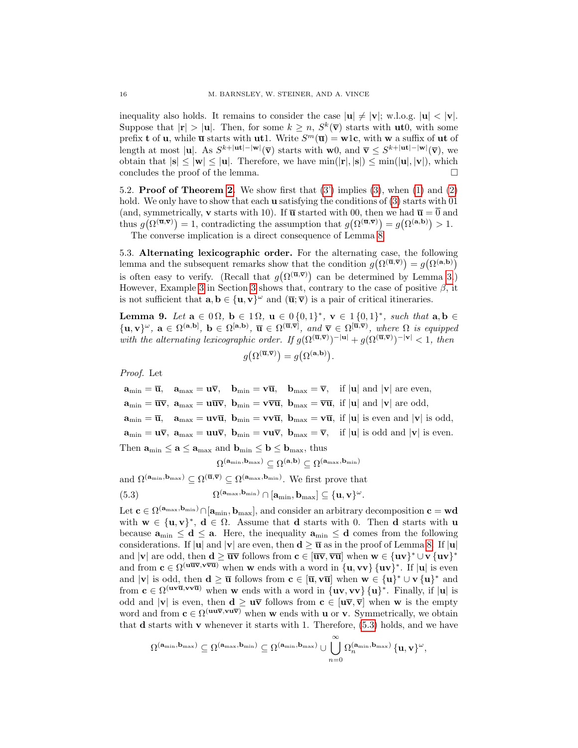inequality also holds. It remains to consider the case  $|\mathbf{u}| \neq |\mathbf{v}|$ ; w.l.o.g.  $|\mathbf{u}| < |\mathbf{v}|$ . Suppose that  $|\mathbf{r}| > |\mathbf{u}|$ . Then, for some  $k \geq n$ ,  $S^k(\overline{\mathbf{v}})$  starts with  $\mathbf{u}t0$ , with some prefix **t** of **u**, while  $\overline{\mathbf{u}}$  starts with **ut** 1. Write  $S^m(\overline{\mathbf{u}}) = \mathbf{w}1\mathbf{c}$ , with **w** a suffix of **ut** of length at most |**u**|. As  $S^{k+|\textbf{ut}|-|\textbf{w}|}(\overline{\textbf{v}})$  starts with **w**0, and  $\overline{\textbf{v}} \leq S^{k+|\textbf{ut}|-|\textbf{w}|}(\overline{\textbf{v}})$ , we obtain that  $|\mathbf{s}| \leq |\mathbf{w}| \leq |\mathbf{u}|$ . Therefore, we have  $\min(|\mathbf{r}|, |\mathbf{s}|) \leq \min(|\mathbf{u}|, |\mathbf{v}|)$ , which concludes the proof of the lemma.

5.2. **Proof of Theorem [2.](#page-4-4)** We show first that  $(3')$  implies  $(3)$ , when  $(1)$  and  $(2)$ hold. We only have to show that each **u** satisfying the conditions of  $(3)$  starts with 01 (and, symmetrically, **v** starts with 10). If  $\bar{u}$  started with 00, then we had  $\bar{u} = \bar{0}$  and thus  $g(\Omega^{(\overline{\mathbf{u}},\overline{\mathbf{v}})})=1$ , contradicting the assumption that  $g(\Omega^{(\overline{\mathbf{u}},\overline{\mathbf{v}})})=g(\Omega^{(\mathbf{a},\mathbf{b})})>1$ . The converse implication is a direct consequence of Lemma [8.](#page-14-1)

5.3. Alternating lexicographic order. For the alternating case, the following lemma and the subsequent remarks show that the condition  $g(\Omega^{(\overline{\mathbf{u}},\overline{\mathbf{v}})}) = g(\Omega^{(\mathbf{a},\mathbf{b})})$ is often easy to verify. (Recall that  $g(\Omega^{(\overline{\mathbf{u}},\overline{\mathbf{v}})})$  can be determined by Lemma [3.](#page-8-0)) However, Example [3](#page-3-0) in Section 3 shows that, contrary to the case of positive  $\beta$ , it is not sufficient that  $\mathbf{a}, \mathbf{b} \in {\mathbf{u}, \mathbf{v}}^{\omega}$  and  $(\overline{\mathbf{u}}; \overline{\mathbf{v}})$  is a pair of critical itineraries.

<span id="page-15-1"></span>Lemma 9. Let  $a \in 0 \Omega$ ,  $b \in 1 \Omega$ ,  $u \in 0 \{0,1\}^*$ ,  $v \in 1 \{0,1\}^*$ , such that  $a, b \in \Omega$  $\{\mathbf u,\mathbf v\}^\omega,\ \mathbf a\in\Omega^{(\mathbf a,\mathbf b)},\ \mathbf b\in\Omega^{[\mathbf a,\mathbf b)},\ \overline{\mathbf u}\in\Omega^{(\overline{\mathbf u},\overline{\mathbf v})},\ and\ \overline{\mathbf v}\in\Omega^{[\overline{\mathbf u},\overline{\mathbf v})},\ where\ \Omega\ is\ equipped$ with the alternating lexicographic order. If  $g(\Omega^{(\overline{\mathbf{u}},\overline{\mathbf{v}})})^{-|\mathbf{u}|} + g(\Omega^{(\overline{\mathbf{u}},\overline{\mathbf{v}})})^{-|\mathbf{v}|} < 1$ , then .

$$
g\big(\Omega^{(\overline{\mathbf{u}},\overline{\mathbf{v}})}\big)=g\big(\Omega^{(\mathbf{a},\mathbf{b})}\big)
$$

Proof. Let

 $\mathbf{a}_{\min} = \overline{\mathbf{u}}, \quad \mathbf{a}_{\max} = \mathbf{u}\overline{\mathbf{v}}, \quad \mathbf{b}_{\min} = \mathbf{v}\overline{\mathbf{u}}, \quad \mathbf{b}_{\max} = \overline{\mathbf{v}}, \quad \text{if } |\mathbf{u}| \text{ and } |\mathbf{v}| \text{ are even},$  $\mathbf{a}_{\min} = \overline{\mathbf{u} \mathbf{v}}, \ \mathbf{a}_{\max} = \mathbf{u} \overline{\mathbf{u} \mathbf{v}}, \ \mathbf{b}_{\min} = \mathbf{v} \overline{\mathbf{v} \mathbf{u}}, \ \mathbf{b}_{\max} = \overline{\mathbf{v} \mathbf{u}}, \ \text{if } |\mathbf{u}| \text{ and } |\mathbf{v}| \text{ are odd},$  $\mathbf{a}_{\min} = \overline{\mathbf{u}}, \quad \mathbf{a}_{\max} = \mathbf{u}\mathbf{v}\overline{\mathbf{u}}, \ \mathbf{b}_{\min} = \mathbf{v}\mathbf{v}\overline{\mathbf{u}}, \ \mathbf{b}_{\max} = \mathbf{v}\overline{\mathbf{u}}, \ \text{if } |\mathbf{u}| \text{ is even and } |\mathbf{v}| \text{ is odd},$  $\mathbf{a}_{\min} = \mathbf{u}\overline{\mathbf{v}}, \ \mathbf{a}_{\max} = \mathbf{u}\mathbf{u}\overline{\mathbf{v}}, \ \mathbf{b}_{\min} = \mathbf{v}\mathbf{u}\overline{\mathbf{v}}, \ \mathbf{b}_{\max} = \overline{\mathbf{v}}, \ \text{if } |\mathbf{u}| \text{ is odd and } |\mathbf{v}| \text{ is even.}$ Then  $\mathbf{a}_{\min} \leq \mathbf{a} \leq \mathbf{a}_{\max}$  and  $\mathbf{b}_{\min} \leq \mathbf{b} \leq \mathbf{b}_{\max}$ , thus  $\Omega^{\left(\mathbf{a}_{\min},\mathbf{b}_{\max}\right)}\subseteq\Omega^{\left(\mathbf{a},\mathbf{b}\right)}\subseteq\Omega^{\left(\mathbf{a}_{\max},\mathbf{b}_{\min}\right)}$ 

and  $\Omega^{(a_{\min},b_{\max})} \subseteq \Omega^{(\overline{\mathbf{u}},\overline{\mathbf{v}})} \subseteq \Omega^{(a_{\max},b_{\min})}$ . We first prove that

<span id="page-15-0"></span>(5.3) 
$$
\Omega^{(\mathbf{a}_{\max}, \mathbf{b}_{\min})} \cap [\mathbf{a}_{\min}, \mathbf{b}_{\max}] \subseteq {\mathbf{u}, \mathbf{v}}^{\omega}
$$

Let  $c \in \Omega^{(a_{\max},b_{\min})} \cap [a_{\min},b_{\max}]$ , and consider an arbitrary decomposition  $c = wd$ with  $w \in \{u, v\}^*, d \in \Omega$ . Assume that d starts with 0. Then d starts with u because  $a_{\min} \le d \le a$ . Here, the inequality  $a_{\min} \le d$  comes from the following considerations. If |u| and |v| are even, then  $d \ge \overline{u}$  as in the proof of Lemma [8.](#page-14-1) If |u| and |v| are odd, then  $d \ge \overline{uv}$  follows from  $c \in [\overline{uv}, \overline{vu}]$  when  $w \in \{uv\}^* \cup v \{uv\}^*$ and from  $c \in \Omega^{(\mathbf{u}\overline{\mathbf{w}}, \mathbf{v}\overline{\mathbf{v}})}$  when w ends with a word in  $\{\mathbf{u}, \mathbf{v}\}\$ , If  $|\mathbf{u}|$  is even and |**v**| is odd, then  $\mathbf{d} \geq \overline{\mathbf{u}}$  follows from  $\mathbf{c} \in [\overline{\mathbf{u}}, \mathbf{v}\overline{\mathbf{u}}]$  when  $\mathbf{w} \in {\{\mathbf{u}\}}^* \cup {\mathbf{v}\{\mathbf{u}\}}^*$  and from  $c \in \Omega^{(\mathbf{u}\times \overline{\mathbf{u}}, \mathbf{v}\times \overline{\mathbf{u}})}$  when w ends with a word in  $\{\mathbf{u}\mathbf{v}, \mathbf{v}\mathbf{v}\}\{\mathbf{u}\}^*$ . Finally, if  $|\mathbf{u}|$  is odd and  $|v|$  is even, then  $d \geq u\bar{v}$  follows from  $c \in [u\bar{v}, \bar{v}]$  when w is the empty word and from  $c \in \Omega^{(\mathbf{u}\mathbf{u}\bar{\mathbf{v}}, \mathbf{v}\mathbf{u}\bar{\mathbf{v}})}$  when w ends with **u** or **v**. Symmetrically, we obtain that d starts with v whenever it starts with 1. Therefore, [\(5.3\)](#page-15-0) holds, and we have

.

$$
\Omega^{(\mathbf{a}_{\min},\mathbf{b}_{\max})}\subseteq \Omega^{(\mathbf{a}_{\max},\mathbf{b}_{\min})}\subseteq \Omega^{(\mathbf{a}_{\min},\mathbf{b}_{\max})}\cup \bigcup_{n=0}^{\infty} \Omega^{(\mathbf{a}_{\min},\mathbf{b}_{\max})}_n\,\{ \mathbf{u},\mathbf{v}\}^{\omega},
$$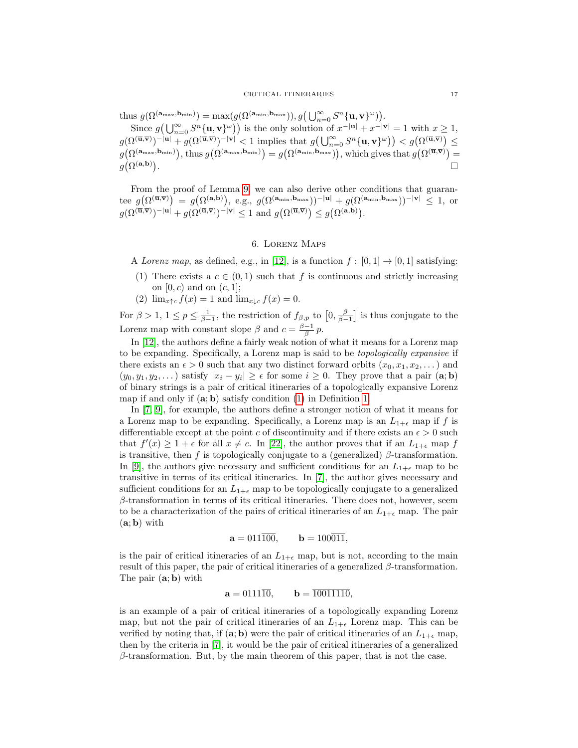thus  $g(\Omega^{(\mathbf{a}_{\max}, \mathbf{b}_{\min})}) = \max(g(\Omega^{(\mathbf{a}_{\min}, \mathbf{b}_{\max})}), g(\bigcup_{n=0}^{\infty} S^n {\{\mathbf{u}, \mathbf{v}\}}^{\omega})).$ 

Since  $g\left(\bigcup_{n=0}^{\infty} S^n \{\mathbf{u}, \mathbf{v}\}^{\omega}\right)$  is the only solution of  $x^{-|\mathbf{u}|} + x^{-|\mathbf{v}|} = 1$  with  $x \ge 1$ ,  $g(\Omega^{(\overline{\mathbf{u}},\overline{\mathbf{v}})})^{-|\mathbf{u}|} + g(\Omega^{(\overline{\mathbf{u}},\overline{\mathbf{v}})})^{-|\mathbf{v}|} < 1$  implies that  $g(\bigcup_{n=0}^{\infty} S^n \{\mathbf{u}, \mathbf{v}\}^{\omega}) < g(\Omega^{(\overline{\mathbf{u}},\overline{\mathbf{v}})}) \leq$  $g(\Omega^{(\mathbf{a}_{\max},\mathbf{b}_{\min})}),$  thus  $g(\Omega^{(\mathbf{a}_{\max},\mathbf{b}_{\min})) = g(\Omega^{(\mathbf{a}_{\min},\mathbf{b}_{\max})}),$  which gives that  $g(\Omega^{(\overline{\mathbf{u}},\overline{\mathbf{v}})}) =$  $g\big(\Omega^{(\mathbf{a},\mathbf{b})}\big)$ . In the contract of the contract of the contract of the contract of the contract of the contract of the contract of

From the proof of Lemma [9,](#page-15-1) we can also derive other conditions that guarantee  $g(\Omega^{(\overline{\mathbf{u}},\overline{\mathbf{v}})}) = g(\Omega^{(\mathbf{a},\mathbf{b})}),$  e.g.,  $g(\Omega^{(\mathbf{a}_{\min},\mathbf{b}_{\max}))^{-|\mathbf{u}|} + g(\Omega^{(\mathbf{a}_{\min},\mathbf{b}_{\max}))^{-|\mathbf{v}|} \leq 1$ , or  $g(\Omega^{(\overline{\mathbf{u}},\overline{\mathbf{v}})})^{-|\mathbf{u}|}+g(\Omega^{(\overline{\mathbf{u}},\overline{\mathbf{v}})})^{-|\mathbf{v}|}\leq 1$  and  $g(\Omega^{(\overline{\mathbf{u}},\overline{\mathbf{v}})})\leq g(\Omega^{(\mathbf{a},\mathbf{b})}).$ 

## 6. Lorenz Maps

<span id="page-16-0"></span>A Lorenz map, as defined, e.g., in [\[12\]](#page-17-25), is a function  $f : [0,1] \rightarrow [0,1]$  satisfying:

- (1) There exists a  $c \in (0,1)$  such that f is continuous and strictly increasing on  $[0, c)$  and on  $(c, 1]$ ;
- (2)  $\lim_{x \uparrow c} f(x) = 1$  and  $\lim_{x \downarrow c} f(x) = 0$ .

For  $\beta > 1, 1 \le p \le \frac{1}{\beta-1}$ , the restriction of  $f_{\beta,p}$  to  $[0, \frac{\beta}{\beta-1}]$  is thus conjugate to the Lorenz map with constant slope  $\beta$  and  $c = \frac{\beta - 1}{\beta} p$ .

In [\[12\]](#page-17-25), the authors define a fairly weak notion of what it means for a Lorenz map to be expanding. Specifically, a Lorenz map is said to be topologically expansive if there exists an  $\epsilon > 0$  such that any two distinct forward orbits  $(x_0, x_1, x_2, \ldots)$  and  $(y_0, y_1, y_2, ...)$  satisfy  $|x_i - y_i| \ge \epsilon$  for some  $i \ge 0$ . They prove that a pair  $(\mathbf{a}; \mathbf{b})$ of binary strings is a pair of critical itineraries of a topologically expansive Lorenz map if and only if  $(a; b)$  satisfy condition  $(1)$  in Definition [1.](#page-3-4)

In [\[7,](#page-17-0) [9\]](#page-17-1), for example, the authors define a stronger notion of what it means for a Lorenz map to be expanding. Specifically, a Lorenz map is an  $L_{1+\epsilon}$  map if f is differentiable except at the point c of discontinuity and if there exists an  $\epsilon > 0$  such that  $f'(x) \geq 1 + \epsilon$  for all  $x \neq c$ . In [\[22\]](#page-17-26), the author proves that if an  $L_{1+\epsilon}$  map f is transitive, then f is topologically conjugate to a (generalized)  $\beta$ -transformation. In [\[9\]](#page-17-1), the authors give necessary and sufficient conditions for an  $L_{1+\epsilon}$  map to be transitive in terms of its critical itineraries. In [\[7\]](#page-17-0), the author gives necessary and sufficient conditions for an  $L_{1+\epsilon}$  map to be topologically conjugate to a generalized  $\beta$ -transformation in terms of its critical itineraries. There does not, however, seem to be a characterization of the pairs of critical itineraries of an  $L_{1+\epsilon}$  map. The pair  $(a; b)$  with

$$
\mathbf{a} = 011\overline{100}, \qquad \mathbf{b} = 100\overline{011},
$$

is the pair of critical itineraries of an  $L_{1+\epsilon}$  map, but is not, according to the main result of this paper, the pair of critical itineraries of a generalized  $\beta$ -transformation. The pair (a; b) with

$$
\mathbf{a} = 0111\overline{10}, \qquad \mathbf{b} = \overline{10011110},
$$

is an example of a pair of critical itineraries of a topologically expanding Lorenz map, but not the pair of critical itineraries of an  $L_{1+\epsilon}$  Lorenz map. This can be verified by noting that, if  $(a, b)$  were the pair of critical itineraries of an  $L_{1+\epsilon}$  map, then by the criteria in [\[7\]](#page-17-0), it would be the pair of critical itineraries of a generalized  $\beta$ -transformation. But, by the main theorem of this paper, that is not the case.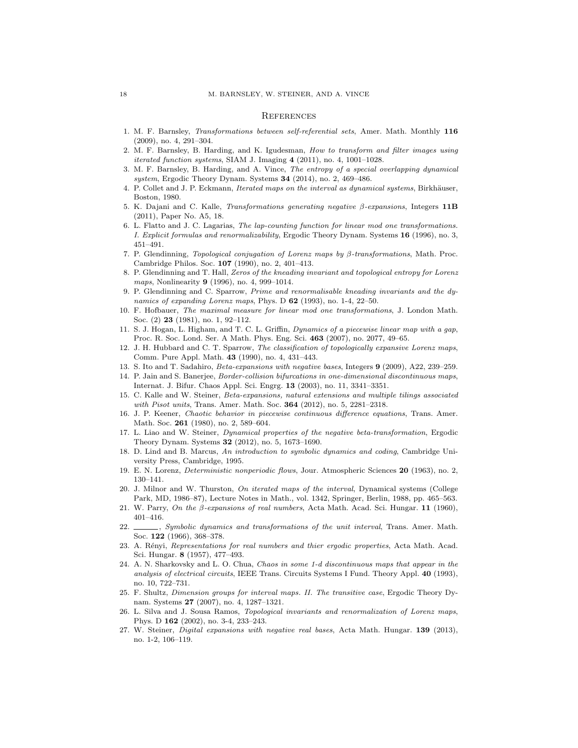#### **REFERENCES**

- <span id="page-17-4"></span>1. M. F. Barnsley, Transformations between self-referential sets, Amer. Math. Monthly 116 (2009), no. 4, 291–304.
- <span id="page-17-6"></span>2. M. F. Barnsley, B. Harding, and K. Igudesman, How to transform and filter images using iterated function systems, SIAM J. Imaging 4 (2011), no. 4, 1001–1028.
- <span id="page-17-5"></span>3. M. F. Barnsley, B. Harding, and A. Vince, The entropy of a special overlapping dynamical system, Ergodic Theory Dynam. Systems  $34$  (2014), no. 2, 469–486.
- <span id="page-17-16"></span>4. P. Collet and J. P. Eckmann, *Iterated maps on the interval as dynamical systems*, Birkhäuser, Boston, 1980.
- <span id="page-17-22"></span>5. K. Dajani and C. Kalle, Transformations generating negative  $β$ -expansions, Integers 11B (2011), Paper No. A5, 18.
- <span id="page-17-13"></span>6. L. Flatto and J. C. Lagarias, The lap-counting function for linear mod one transformations. I. Explicit formulas and renormalizability, Ergodic Theory Dynam. Systems 16 (1996), no. 3, 451–491.
- <span id="page-17-0"></span>7. P. Glendinning, Topological conjugation of Lorenz maps by β-transformations, Math. Proc. Cambridge Philos. Soc. 107 (1990), no. 2, 401–413.
- <span id="page-17-23"></span>8. P. Glendinning and T. Hall, Zeros of the kneading invariant and topological entropy for Lorenz maps, Nonlinearity **9** (1996), no. 4, 999–1014.
- <span id="page-17-1"></span>9. P. Glendinning and C. Sparrow, Prime and renormalisable kneading invariants and the dynamics of expanding Lorenz maps, Phys. D 62 (1993), no. 1-4, 22-50.
- <span id="page-17-12"></span>10. F. Hofbauer, The maximal measure for linear mod one transformations, J. London Math. Soc. (2) 23 (1981), no. 1, 92–112.
- <span id="page-17-7"></span>11. S. J. Hogan, L. Higham, and T. C. L. Griffin, Dynamics of a piecewise linear map with a gap, Proc. R. Soc. Lond. Ser. A Math. Phys. Eng. Sci. 463 (2007), no. 2077, 49–65.
- <span id="page-17-25"></span>12. J. H. Hubbard and C. T. Sparrow, The classification of topologically expansive Lorenz maps, Comm. Pure Appl. Math. 43 (1990), no. 4, 431–443.
- <span id="page-17-14"></span>13. S. Ito and T. Sadahiro, Beta-expansions with negative bases, Integers 9 (2009), A22, 239–259.
- <span id="page-17-8"></span>14. P. Jain and S. Banerjee, Border-collision bifurcations in one-dimensional discontinuous maps, Internat. J. Bifur. Chaos Appl. Sci. Engrg. 13 (2003), no. 11, 3341–3351.
- <span id="page-17-20"></span>15. C. Kalle and W. Steiner, Beta-expansions, natural extensions and multiple tilings associated with Pisot units, Trans. Amer. Math. Soc. **364** (2012), no. 5, 2281-2318.
- <span id="page-17-2"></span>16. J. P. Keener, Chaotic behavior in piecewise continuous difference equations, Trans. Amer. Math. Soc. **261** (1980), no. 2, 589-604.
- <span id="page-17-15"></span>17. L. Liao and W. Steiner, Dynamical properties of the negative beta-transformation, Ergodic Theory Dynam. Systems 32 (2012), no. 5, 1673–1690.
- <span id="page-17-19"></span>18. D. Lind and B. Marcus, An introduction to symbolic dynamics and coding, Cambridge University Press, Cambridge, 1995.
- <span id="page-17-3"></span>19. E. N. Lorenz, Deterministic nonperiodic flows, Jour. Atmospheric Sciences 20 (1963), no. 2, 130–141.
- <span id="page-17-17"></span>20. J. Milnor and W. Thurston, On iterated maps of the interval, Dynamical systems (College Park, MD, 1986–87), Lecture Notes in Math., vol. 1342, Springer, Berlin, 1988, pp. 465–563.
- <span id="page-17-11"></span>21. W. Parry, On the β-expansions of real numbers, Acta Math. Acad. Sci. Hungar. 11 (1960), 401–416.
- <span id="page-17-26"></span>22. Symbolic dynamics and transformations of the unit interval, Trans. Amer. Math. Soc. 122 (1966), 368–378.
- <span id="page-17-10"></span>23. A. Rényi, Representations for real numbers and thier ergodic properties, Acta Math. Acad. Sci. Hungar. 8 (1957), 477–493.
- <span id="page-17-9"></span>24. A. N. Sharkovsky and L. O. Chua, Chaos in some 1-d discontinuous maps that appear in the analysis of electrical circuits, IEEE Trans. Circuits Systems I Fund. Theory Appl. 40 (1993), no. 10, 722–731.
- <span id="page-17-21"></span>25. F. Shultz, Dimension groups for interval maps. II. The transitive case, Ergodic Theory Dynam. Systems 27 (2007), no. 4, 1287–1321.
- <span id="page-17-24"></span>26. L. Silva and J. Sousa Ramos, Topological invariants and renormalization of Lorenz maps, Phys. D 162 (2002), no. 3-4, 233–243.
- <span id="page-17-18"></span>27. W. Steiner, Digital expansions with negative real bases, Acta Math. Hungar. 139 (2013), no. 1-2, 106–119.